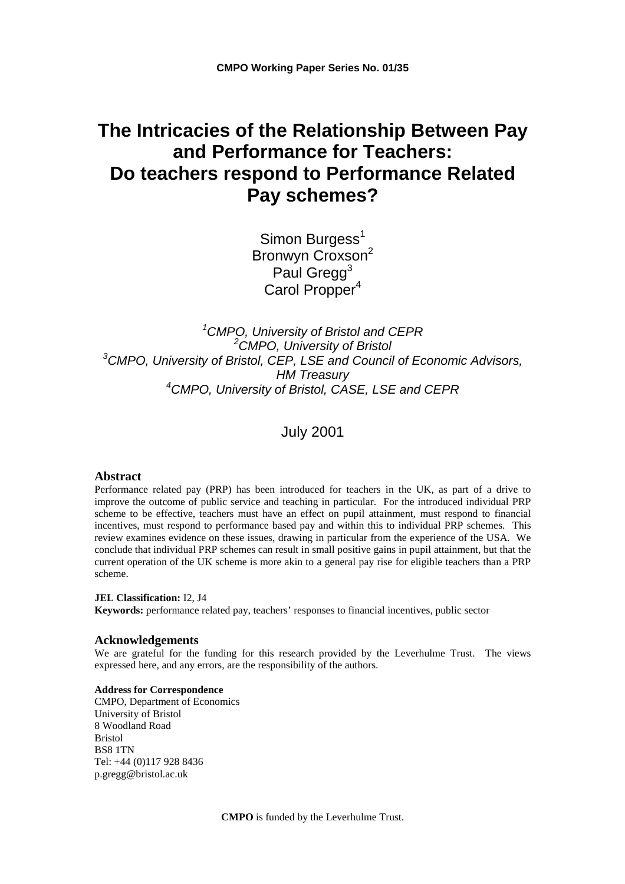# **The Intricacies of the Relationship Between Pay and Performance for Teachers: Do teachers respond to Performance Related Pay schemes?**

Simon Burgess<sup>1</sup> Bronwyn Croxson<sup>2</sup> Paul Gregg<sup>3</sup> Carol Propper<sup>4</sup>

 *CMPO, University of Bristol and CEPR CMPO, University of Bristol CMPO, University of Bristol, CEP, LSE and Council of Economic Advisors, HM Treasury CMPO, University of Bristol, CASE, LSE and CEPR*

July 2001

#### **Abstract**

Performance related pay (PRP) has been introduced for teachers in the UK, as part of a drive to improve the outcome of public service and teaching in particular. For the introduced individual PRP scheme to be effective, teachers must have an effect on pupil attainment, must respond to financial incentives, must respond to performance based pay and within this to individual PRP schemes. This review examines evidence on these issues, drawing in particular from the experience of the USA. We conclude that individual PRP schemes can result in small positive gains in pupil attainment, but that the current operation of the UK scheme is more akin to a general pay rise for eligible teachers than a PRP scheme.

#### **JEL Classification:** I2, J4

**Keywords:** performance related pay, teachers' responses to financial incentives, public sector

#### **Acknowledgements**

We are grateful for the funding for this research provided by the Leverhulme Trust. The views expressed here, and any errors, are the responsibility of the authors.

#### **Address for Correspondence**

CMPO, Department of Economics University of Bristol 8 Woodland Road Bristol BS8 1TN Tel: +44 (0)117 928 8436 p.gregg@bristol.ac.uk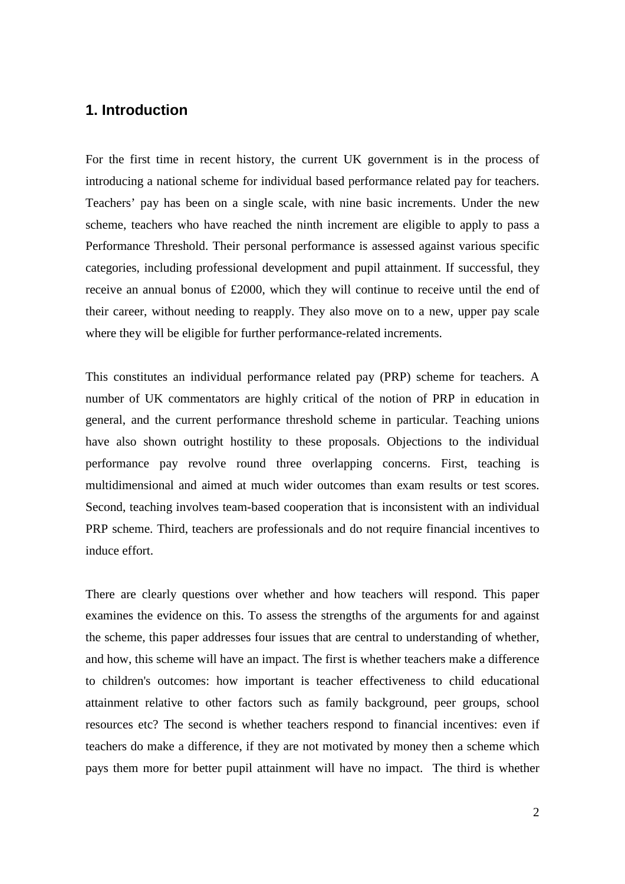# **1. Introduction**

For the first time in recent history, the current UK government is in the process of introducing a national scheme for individual based performance related pay for teachers. Teachers' pay has been on a single scale, with nine basic increments. Under the new scheme, teachers who have reached the ninth increment are eligible to apply to pass a Performance Threshold. Their personal performance is assessed against various specific categories, including professional development and pupil attainment. If successful, they receive an annual bonus of £2000, which they will continue to receive until the end of their career, without needing to reapply. They also move on to a new, upper pay scale where they will be eligible for further performance-related increments.

This constitutes an individual performance related pay (PRP) scheme for teachers. A number of UK commentators are highly critical of the notion of PRP in education in general, and the current performance threshold scheme in particular. Teaching unions have also shown outright hostility to these proposals. Objections to the individual performance pay revolve round three overlapping concerns. First, teaching is multidimensional and aimed at much wider outcomes than exam results or test scores. Second, teaching involves team-based cooperation that is inconsistent with an individual PRP scheme. Third, teachers are professionals and do not require financial incentives to induce effort.

There are clearly questions over whether and how teachers will respond. This paper examines the evidence on this. To assess the strengths of the arguments for and against the scheme, this paper addresses four issues that are central to understanding of whether, and how, this scheme will have an impact. The first is whether teachers make a difference to children's outcomes: how important is teacher effectiveness to child educational attainment relative to other factors such as family background, peer groups, school resources etc? The second is whether teachers respond to financial incentives: even if teachers do make a difference, if they are not motivated by money then a scheme which pays them more for better pupil attainment will have no impact. The third is whether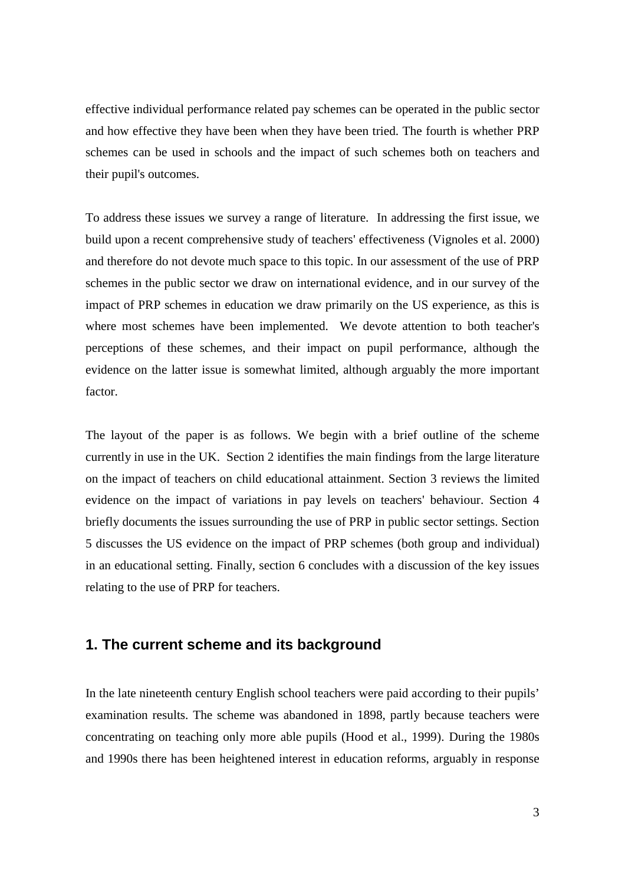effective individual performance related pay schemes can be operated in the public sector and how effective they have been when they have been tried. The fourth is whether PRP schemes can be used in schools and the impact of such schemes both on teachers and their pupil's outcomes.

To address these issues we survey a range of literature. In addressing the first issue, we build upon a recent comprehensive study of teachers' effectiveness (Vignoles et al. 2000) and therefore do not devote much space to this topic. In our assessment of the use of PRP schemes in the public sector we draw on international evidence, and in our survey of the impact of PRP schemes in education we draw primarily on the US experience, as this is where most schemes have been implemented. We devote attention to both teacher's perceptions of these schemes, and their impact on pupil performance, although the evidence on the latter issue is somewhat limited, although arguably the more important factor.

The layout of the paper is as follows. We begin with a brief outline of the scheme currently in use in the UK. Section 2 identifies the main findings from the large literature on the impact of teachers on child educational attainment. Section 3 reviews the limited evidence on the impact of variations in pay levels on teachers' behaviour. Section 4 briefly documents the issues surrounding the use of PRP in public sector settings. Section 5 discusses the US evidence on the impact of PRP schemes (both group and individual) in an educational setting. Finally, section 6 concludes with a discussion of the key issues relating to the use of PRP for teachers.

# **1. The current scheme and its background**

In the late nineteenth century English school teachers were paid according to their pupils' examination results. The scheme was abandoned in 1898, partly because teachers were concentrating on teaching only more able pupils (Hood et al., 1999). During the 1980s and 1990s there has been heightened interest in education reforms, arguably in response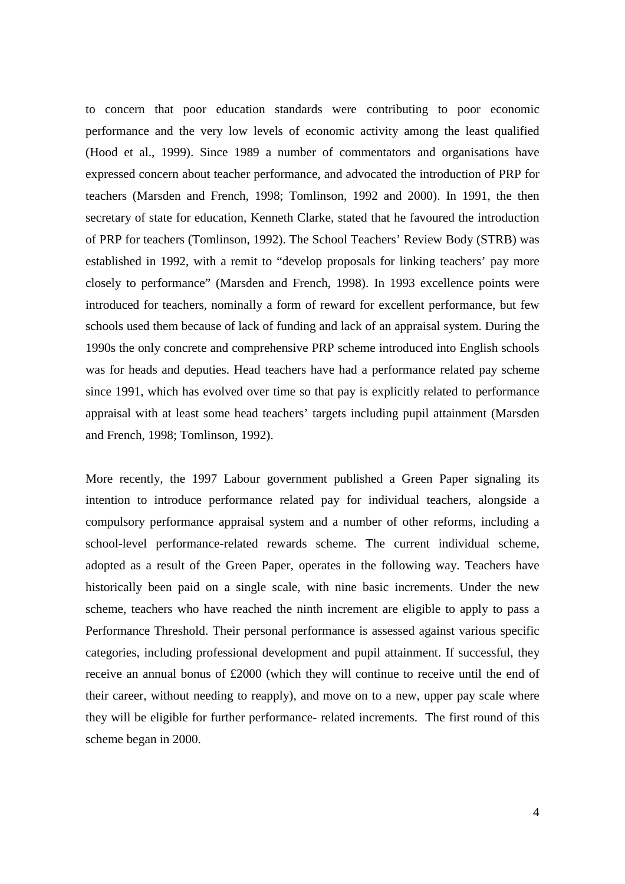to concern that poor education standards were contributing to poor economic performance and the very low levels of economic activity among the least qualified (Hood et al., 1999). Since 1989 a number of commentators and organisations have expressed concern about teacher performance, and advocated the introduction of PRP for teachers (Marsden and French, 1998; Tomlinson, 1992 and 2000). In 1991, the then secretary of state for education, Kenneth Clarke, stated that he favoured the introduction of PRP for teachers (Tomlinson, 1992). The School Teachers' Review Body (STRB) was established in 1992, with a remit to "develop proposals for linking teachers' pay more closely to performance" (Marsden and French, 1998). In 1993 excellence points were introduced for teachers, nominally a form of reward for excellent performance, but few schools used them because of lack of funding and lack of an appraisal system. During the 1990s the only concrete and comprehensive PRP scheme introduced into English schools was for heads and deputies. Head teachers have had a performance related pay scheme since 1991, which has evolved over time so that pay is explicitly related to performance appraisal with at least some head teachers' targets including pupil attainment (Marsden and French, 1998; Tomlinson, 1992).

More recently, the 1997 Labour government published a Green Paper signaling its intention to introduce performance related pay for individual teachers, alongside a compulsory performance appraisal system and a number of other reforms, including a school-level performance-related rewards scheme. The current individual scheme, adopted as a result of the Green Paper, operates in the following way. Teachers have historically been paid on a single scale, with nine basic increments. Under the new scheme, teachers who have reached the ninth increment are eligible to apply to pass a Performance Threshold. Their personal performance is assessed against various specific categories, including professional development and pupil attainment. If successful, they receive an annual bonus of £2000 (which they will continue to receive until the end of their career, without needing to reapply), and move on to a new, upper pay scale where they will be eligible for further performance- related increments. The first round of this scheme began in 2000.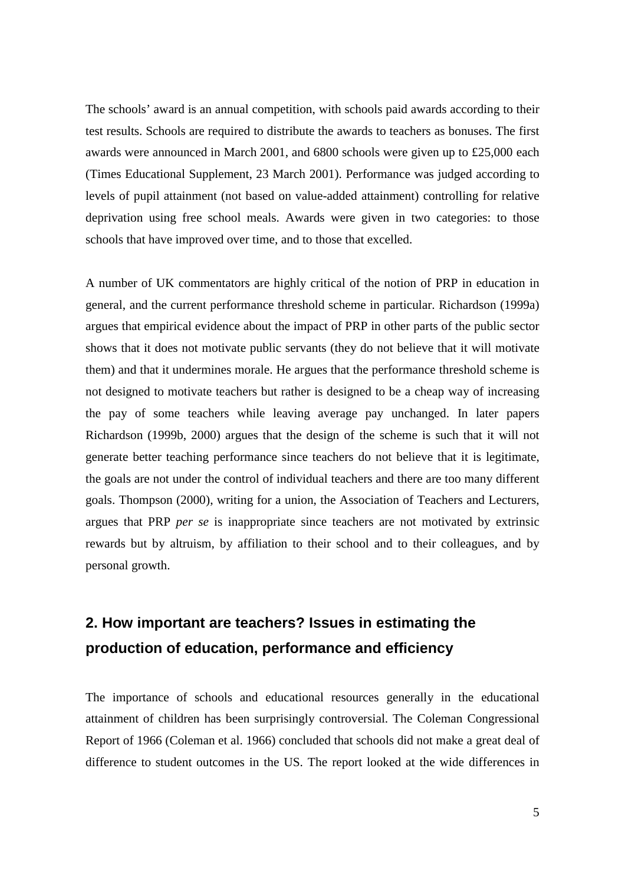The schools' award is an annual competition, with schools paid awards according to their test results. Schools are required to distribute the awards to teachers as bonuses. The first awards were announced in March 2001, and 6800 schools were given up to £25,000 each (Times Educational Supplement, 23 March 2001). Performance was judged according to levels of pupil attainment (not based on value-added attainment) controlling for relative deprivation using free school meals. Awards were given in two categories: to those schools that have improved over time, and to those that excelled.

A number of UK commentators are highly critical of the notion of PRP in education in general, and the current performance threshold scheme in particular. Richardson (1999a) argues that empirical evidence about the impact of PRP in other parts of the public sector shows that it does not motivate public servants (they do not believe that it will motivate them) and that it undermines morale. He argues that the performance threshold scheme is not designed to motivate teachers but rather is designed to be a cheap way of increasing the pay of some teachers while leaving average pay unchanged. In later papers Richardson (1999b, 2000) argues that the design of the scheme is such that it will not generate better teaching performance since teachers do not believe that it is legitimate, the goals are not under the control of individual teachers and there are too many different goals. Thompson (2000), writing for a union, the Association of Teachers and Lecturers, argues that PRP *per se* is inappropriate since teachers are not motivated by extrinsic rewards but by altruism, by affiliation to their school and to their colleagues, and by personal growth.

# **2. How important are teachers? Issues in estimating the production of education, performance and efficiency**

The importance of schools and educational resources generally in the educational attainment of children has been surprisingly controversial. The Coleman Congressional Report of 1966 (Coleman et al. 1966) concluded that schools did not make a great deal of difference to student outcomes in the US. The report looked at the wide differences in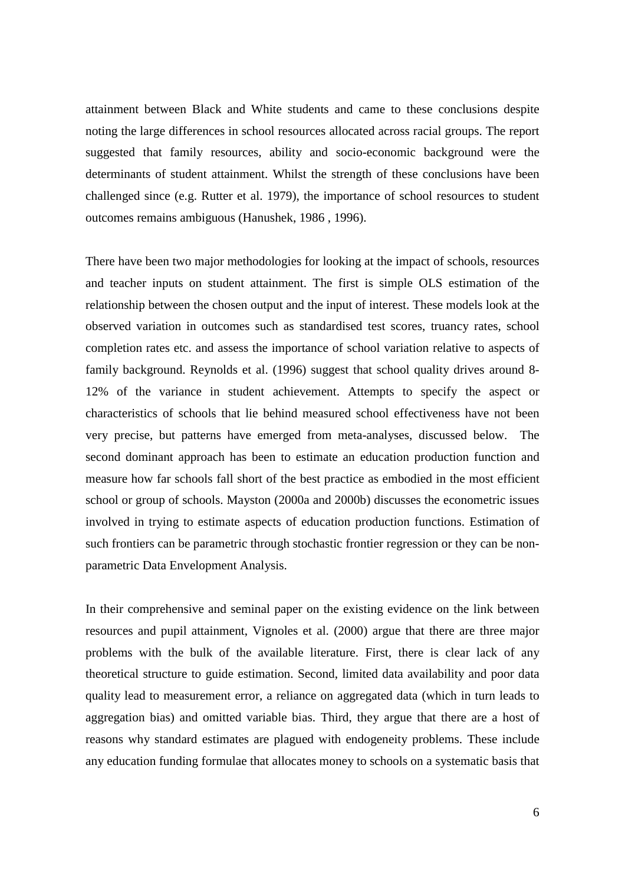attainment between Black and White students and came to these conclusions despite noting the large differences in school resources allocated across racial groups. The report suggested that family resources, ability and socio-economic background were the determinants of student attainment. Whilst the strength of these conclusions have been challenged since (e.g. Rutter et al. 1979), the importance of school resources to student outcomes remains ambiguous (Hanushek, 1986 , 1996).

There have been two major methodologies for looking at the impact of schools, resources and teacher inputs on student attainment. The first is simple OLS estimation of the relationship between the chosen output and the input of interest. These models look at the observed variation in outcomes such as standardised test scores, truancy rates, school completion rates etc. and assess the importance of school variation relative to aspects of family background. Reynolds et al. (1996) suggest that school quality drives around 8- 12% of the variance in student achievement. Attempts to specify the aspect or characteristics of schools that lie behind measured school effectiveness have not been very precise, but patterns have emerged from meta-analyses, discussed below. The second dominant approach has been to estimate an education production function and measure how far schools fall short of the best practice as embodied in the most efficient school or group of schools. Mayston (2000a and 2000b) discusses the econometric issues involved in trying to estimate aspects of education production functions. Estimation of such frontiers can be parametric through stochastic frontier regression or they can be nonparametric Data Envelopment Analysis.

In their comprehensive and seminal paper on the existing evidence on the link between resources and pupil attainment, Vignoles et al. (2000) argue that there are three major problems with the bulk of the available literature. First, there is clear lack of any theoretical structure to guide estimation. Second, limited data availability and poor data quality lead to measurement error, a reliance on aggregated data (which in turn leads to aggregation bias) and omitted variable bias. Third, they argue that there are a host of reasons why standard estimates are plagued with endogeneity problems. These include any education funding formulae that allocates money to schools on a systematic basis that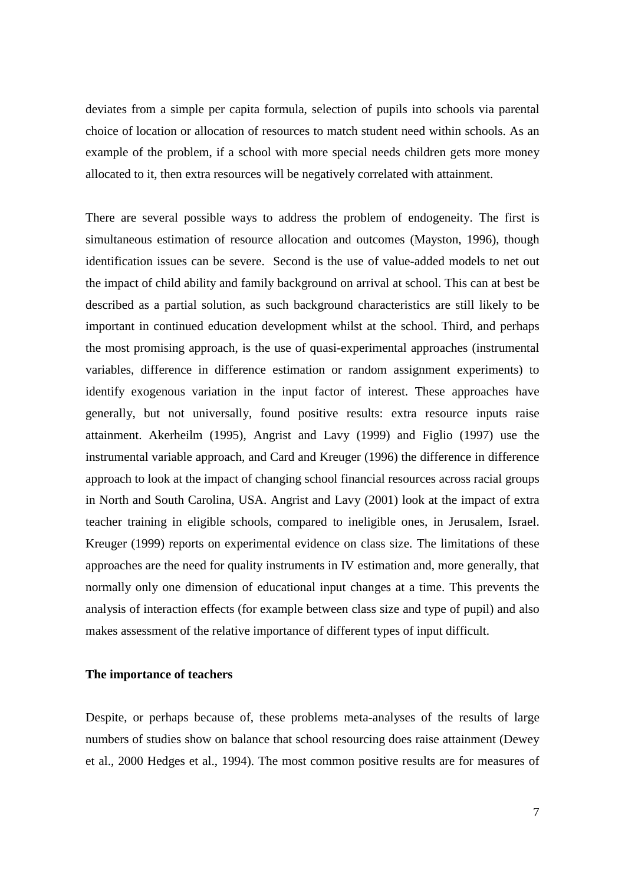deviates from a simple per capita formula, selection of pupils into schools via parental choice of location or allocation of resources to match student need within schools. As an example of the problem, if a school with more special needs children gets more money allocated to it, then extra resources will be negatively correlated with attainment.

There are several possible ways to address the problem of endogeneity. The first is simultaneous estimation of resource allocation and outcomes (Mayston, 1996), though identification issues can be severe. Second is the use of value-added models to net out the impact of child ability and family background on arrival at school. This can at best be described as a partial solution, as such background characteristics are still likely to be important in continued education development whilst at the school. Third, and perhaps the most promising approach, is the use of quasi-experimental approaches (instrumental variables, difference in difference estimation or random assignment experiments) to identify exogenous variation in the input factor of interest. These approaches have generally, but not universally, found positive results: extra resource inputs raise attainment. Akerheilm (1995), Angrist and Lavy (1999) and Figlio (1997) use the instrumental variable approach, and Card and Kreuger (1996) the difference in difference approach to look at the impact of changing school financial resources across racial groups in North and South Carolina, USA. Angrist and Lavy (2001) look at the impact of extra teacher training in eligible schools, compared to ineligible ones, in Jerusalem, Israel. Kreuger (1999) reports on experimental evidence on class size. The limitations of these approaches are the need for quality instruments in IV estimation and, more generally, that normally only one dimension of educational input changes at a time. This prevents the analysis of interaction effects (for example between class size and type of pupil) and also makes assessment of the relative importance of different types of input difficult.

### **The importance of teachers**

Despite, or perhaps because of, these problems meta-analyses of the results of large numbers of studies show on balance that school resourcing does raise attainment (Dewey et al., 2000 Hedges et al., 1994). The most common positive results are for measures of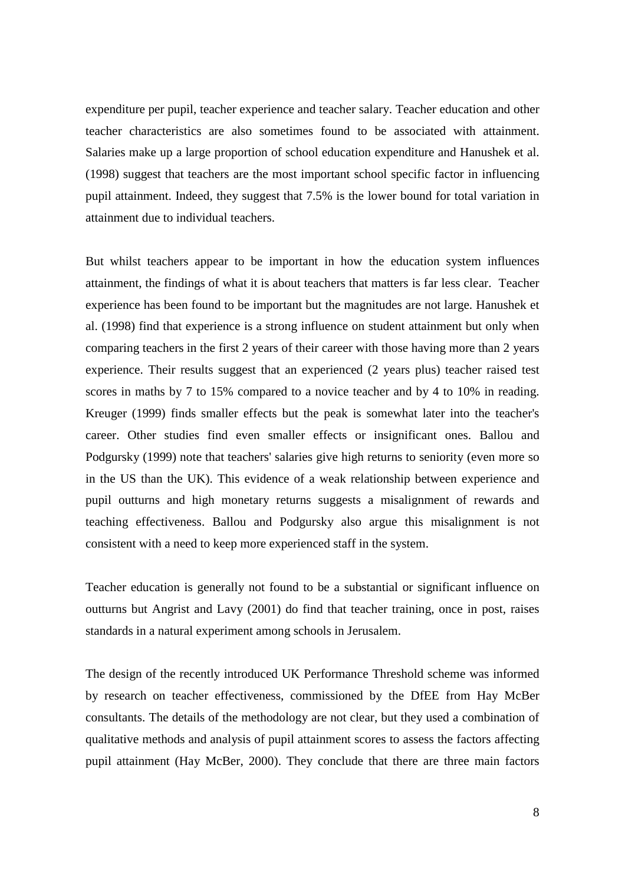expenditure per pupil, teacher experience and teacher salary. Teacher education and other teacher characteristics are also sometimes found to be associated with attainment. Salaries make up a large proportion of school education expenditure and Hanushek et al. (1998) suggest that teachers are the most important school specific factor in influencing pupil attainment. Indeed, they suggest that 7.5% is the lower bound for total variation in attainment due to individual teachers.

But whilst teachers appear to be important in how the education system influences attainment, the findings of what it is about teachers that matters is far less clear. Teacher experience has been found to be important but the magnitudes are not large. Hanushek et al. (1998) find that experience is a strong influence on student attainment but only when comparing teachers in the first 2 years of their career with those having more than 2 years experience. Their results suggest that an experienced (2 years plus) teacher raised test scores in maths by 7 to 15% compared to a novice teacher and by 4 to 10% in reading. Kreuger (1999) finds smaller effects but the peak is somewhat later into the teacher's career. Other studies find even smaller effects or insignificant ones. Ballou and Podgursky (1999) note that teachers' salaries give high returns to seniority (even more so in the US than the UK). This evidence of a weak relationship between experience and pupil outturns and high monetary returns suggests a misalignment of rewards and teaching effectiveness. Ballou and Podgursky also argue this misalignment is not consistent with a need to keep more experienced staff in the system.

Teacher education is generally not found to be a substantial or significant influence on outturns but Angrist and Lavy (2001) do find that teacher training, once in post, raises standards in a natural experiment among schools in Jerusalem.

The design of the recently introduced UK Performance Threshold scheme was informed by research on teacher effectiveness, commissioned by the DfEE from Hay McBer consultants. The details of the methodology are not clear, but they used a combination of qualitative methods and analysis of pupil attainment scores to assess the factors affecting pupil attainment (Hay McBer, 2000). They conclude that there are three main factors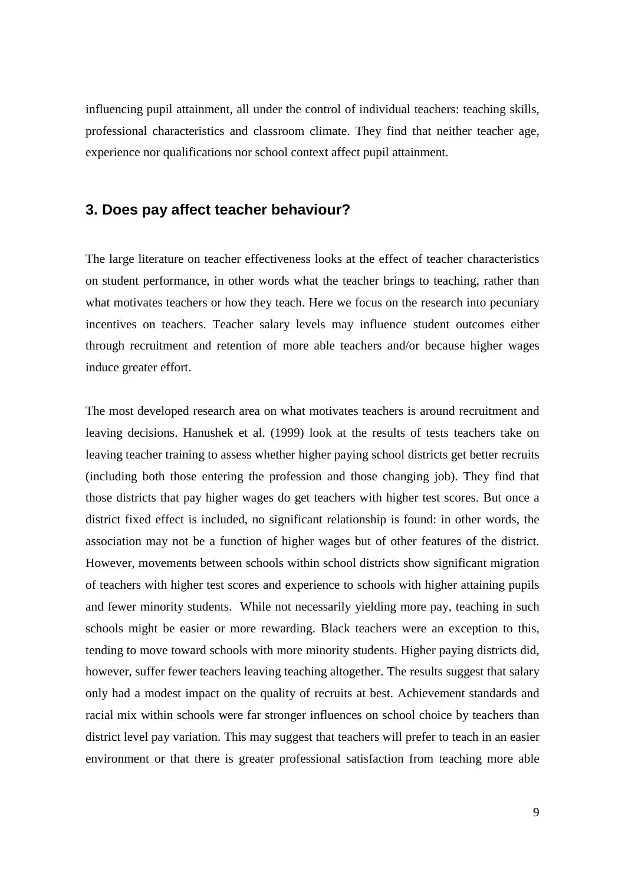influencing pupil attainment, all under the control of individual teachers: teaching skills, professional characteristics and classroom climate. They find that neither teacher age, experience nor qualifications nor school context affect pupil attainment.

# **3. Does pay affect teacher behaviour?**

The large literature on teacher effectiveness looks at the effect of teacher characteristics on student performance, in other words what the teacher brings to teaching, rather than what motivates teachers or how they teach. Here we focus on the research into pecuniary incentives on teachers. Teacher salary levels may influence student outcomes either through recruitment and retention of more able teachers and/or because higher wages induce greater effort.

The most developed research area on what motivates teachers is around recruitment and leaving decisions. Hanushek et al. (1999) look at the results of tests teachers take on leaving teacher training to assess whether higher paying school districts get better recruits (including both those entering the profession and those changing job). They find that those districts that pay higher wages do get teachers with higher test scores. But once a district fixed effect is included, no significant relationship is found: in other words, the association may not be a function of higher wages but of other features of the district. However, movements between schools within school districts show significant migration of teachers with higher test scores and experience to schools with higher attaining pupils and fewer minority students. While not necessarily yielding more pay, teaching in such schools might be easier or more rewarding. Black teachers were an exception to this, tending to move toward schools with more minority students. Higher paying districts did, however, suffer fewer teachers leaving teaching altogether. The results suggest that salary only had a modest impact on the quality of recruits at best. Achievement standards and racial mix within schools were far stronger influences on school choice by teachers than district level pay variation. This may suggest that teachers will prefer to teach in an easier environment or that there is greater professional satisfaction from teaching more able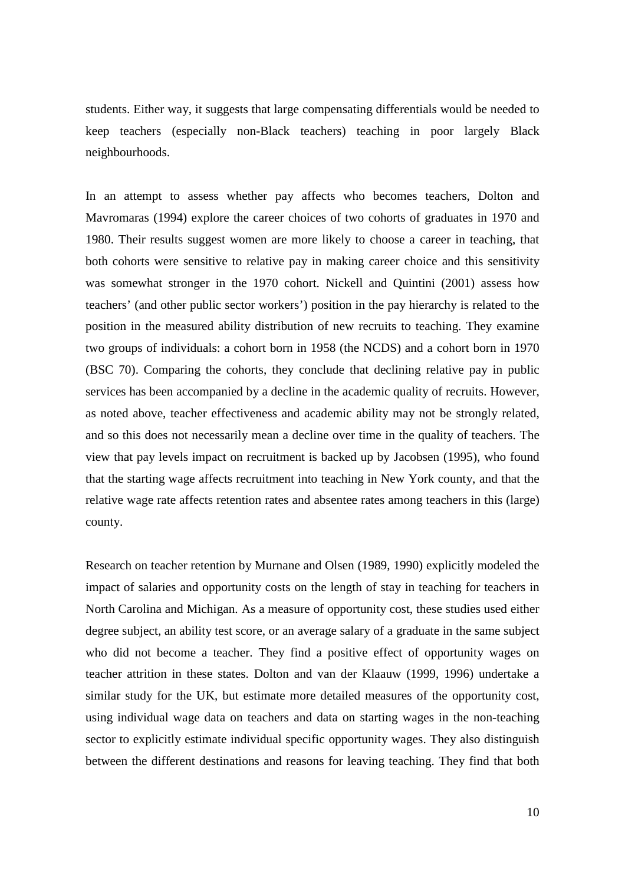students. Either way, it suggests that large compensating differentials would be needed to keep teachers (especially non-Black teachers) teaching in poor largely Black neighbourhoods.

In an attempt to assess whether pay affects who becomes teachers, Dolton and Mavromaras (1994) explore the career choices of two cohorts of graduates in 1970 and 1980. Their results suggest women are more likely to choose a career in teaching, that both cohorts were sensitive to relative pay in making career choice and this sensitivity was somewhat stronger in the 1970 cohort. Nickell and Quintini (2001) assess how teachers' (and other public sector workers') position in the pay hierarchy is related to the position in the measured ability distribution of new recruits to teaching. They examine two groups of individuals: a cohort born in 1958 (the NCDS) and a cohort born in 1970 (BSC 70). Comparing the cohorts, they conclude that declining relative pay in public services has been accompanied by a decline in the academic quality of recruits. However, as noted above, teacher effectiveness and academic ability may not be strongly related, and so this does not necessarily mean a decline over time in the quality of teachers. The view that pay levels impact on recruitment is backed up by Jacobsen (1995), who found that the starting wage affects recruitment into teaching in New York county, and that the relative wage rate affects retention rates and absentee rates among teachers in this (large) county.

Research on teacher retention by Murnane and Olsen (1989, 1990) explicitly modeled the impact of salaries and opportunity costs on the length of stay in teaching for teachers in North Carolina and Michigan. As a measure of opportunity cost, these studies used either degree subject, an ability test score, or an average salary of a graduate in the same subject who did not become a teacher. They find a positive effect of opportunity wages on teacher attrition in these states. Dolton and van der Klaauw (1999, 1996) undertake a similar study for the UK, but estimate more detailed measures of the opportunity cost, using individual wage data on teachers and data on starting wages in the non-teaching sector to explicitly estimate individual specific opportunity wages. They also distinguish between the different destinations and reasons for leaving teaching. They find that both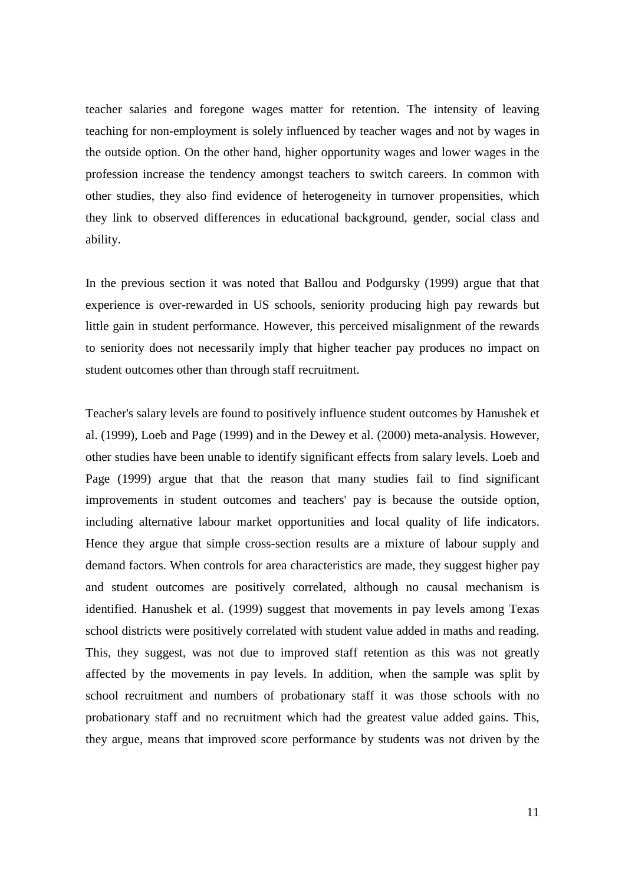teacher salaries and foregone wages matter for retention. The intensity of leaving teaching for non-employment is solely influenced by teacher wages and not by wages in the outside option. On the other hand, higher opportunity wages and lower wages in the profession increase the tendency amongst teachers to switch careers. In common with other studies, they also find evidence of heterogeneity in turnover propensities, which they link to observed differences in educational background, gender, social class and ability.

In the previous section it was noted that Ballou and Podgursky (1999) argue that that experience is over-rewarded in US schools, seniority producing high pay rewards but little gain in student performance. However, this perceived misalignment of the rewards to seniority does not necessarily imply that higher teacher pay produces no impact on student outcomes other than through staff recruitment.

Teacher's salary levels are found to positively influence student outcomes by Hanushek et al. (1999), Loeb and Page (1999) and in the Dewey et al. (2000) meta-analysis. However, other studies have been unable to identify significant effects from salary levels. Loeb and Page (1999) argue that that the reason that many studies fail to find significant improvements in student outcomes and teachers' pay is because the outside option, including alternative labour market opportunities and local quality of life indicators. Hence they argue that simple cross-section results are a mixture of labour supply and demand factors. When controls for area characteristics are made, they suggest higher pay and student outcomes are positively correlated, although no causal mechanism is identified. Hanushek et al. (1999) suggest that movements in pay levels among Texas school districts were positively correlated with student value added in maths and reading. This, they suggest, was not due to improved staff retention as this was not greatly affected by the movements in pay levels. In addition, when the sample was split by school recruitment and numbers of probationary staff it was those schools with no probationary staff and no recruitment which had the greatest value added gains. This, they argue, means that improved score performance by students was not driven by the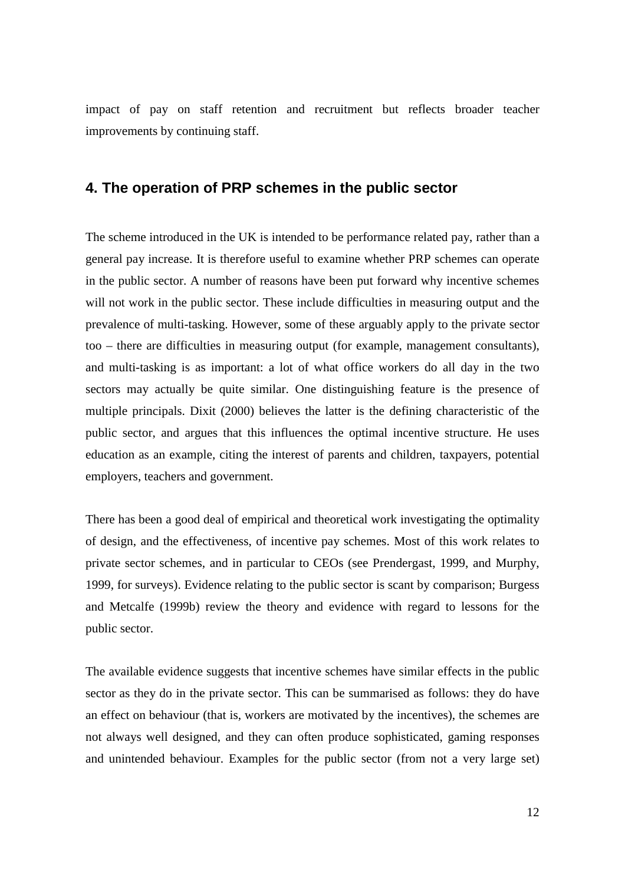impact of pay on staff retention and recruitment but reflects broader teacher improvements by continuing staff.

# **4. The operation of PRP schemes in the public sector**

The scheme introduced in the UK is intended to be performance related pay, rather than a general pay increase. It is therefore useful to examine whether PRP schemes can operate in the public sector. A number of reasons have been put forward why incentive schemes will not work in the public sector. These include difficulties in measuring output and the prevalence of multi-tasking. However, some of these arguably apply to the private sector too – there are difficulties in measuring output (for example, management consultants), and multi-tasking is as important: a lot of what office workers do all day in the two sectors may actually be quite similar. One distinguishing feature is the presence of multiple principals. Dixit (2000) believes the latter is the defining characteristic of the public sector, and argues that this influences the optimal incentive structure. He uses education as an example, citing the interest of parents and children, taxpayers, potential employers, teachers and government.

There has been a good deal of empirical and theoretical work investigating the optimality of design, and the effectiveness, of incentive pay schemes. Most of this work relates to private sector schemes, and in particular to CEOs (see Prendergast, 1999, and Murphy, 1999, for surveys). Evidence relating to the public sector is scant by comparison; Burgess and Metcalfe (1999b) review the theory and evidence with regard to lessons for the public sector.

The available evidence suggests that incentive schemes have similar effects in the public sector as they do in the private sector. This can be summarised as follows: they do have an effect on behaviour (that is, workers are motivated by the incentives), the schemes are not always well designed, and they can often produce sophisticated, gaming responses and unintended behaviour. Examples for the public sector (from not a very large set)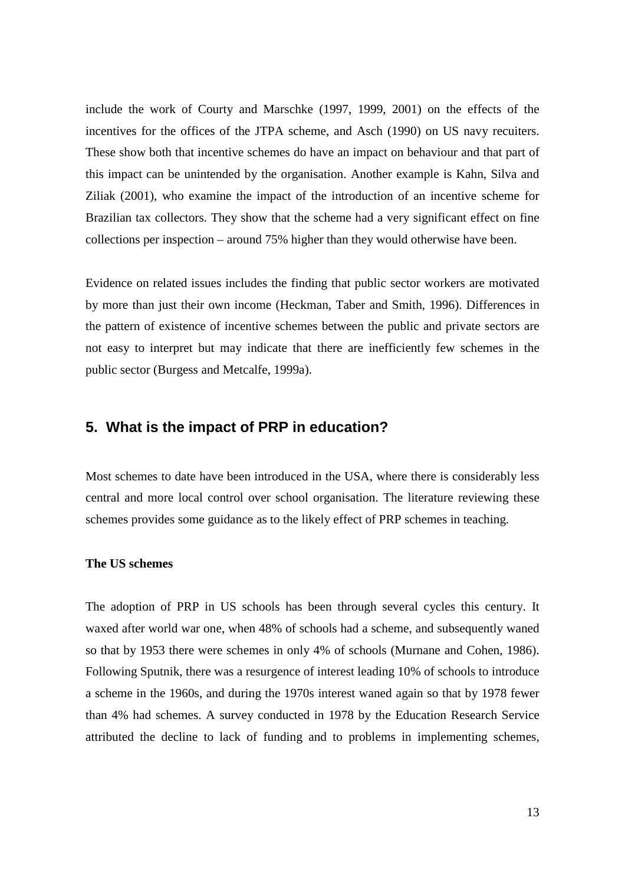include the work of Courty and Marschke (1997, 1999, 2001) on the effects of the incentives for the offices of the JTPA scheme, and Asch (1990) on US navy recuiters. These show both that incentive schemes do have an impact on behaviour and that part of this impact can be unintended by the organisation. Another example is Kahn, Silva and Ziliak (2001), who examine the impact of the introduction of an incentive scheme for Brazilian tax collectors. They show that the scheme had a very significant effect on fine collections per inspection – around 75% higher than they would otherwise have been.

Evidence on related issues includes the finding that public sector workers are motivated by more than just their own income (Heckman, Taber and Smith, 1996). Differences in the pattern of existence of incentive schemes between the public and private sectors are not easy to interpret but may indicate that there are inefficiently few schemes in the public sector (Burgess and Metcalfe, 1999a).

# **5. What is the impact of PRP in education?**

Most schemes to date have been introduced in the USA, where there is considerably less central and more local control over school organisation. The literature reviewing these schemes provides some guidance as to the likely effect of PRP schemes in teaching.

#### **The US schemes**

The adoption of PRP in US schools has been through several cycles this century. It waxed after world war one, when 48% of schools had a scheme, and subsequently waned so that by 1953 there were schemes in only 4% of schools (Murnane and Cohen, 1986). Following Sputnik, there was a resurgence of interest leading 10% of schools to introduce a scheme in the 1960s, and during the 1970s interest waned again so that by 1978 fewer than 4% had schemes. A survey conducted in 1978 by the Education Research Service attributed the decline to lack of funding and to problems in implementing schemes,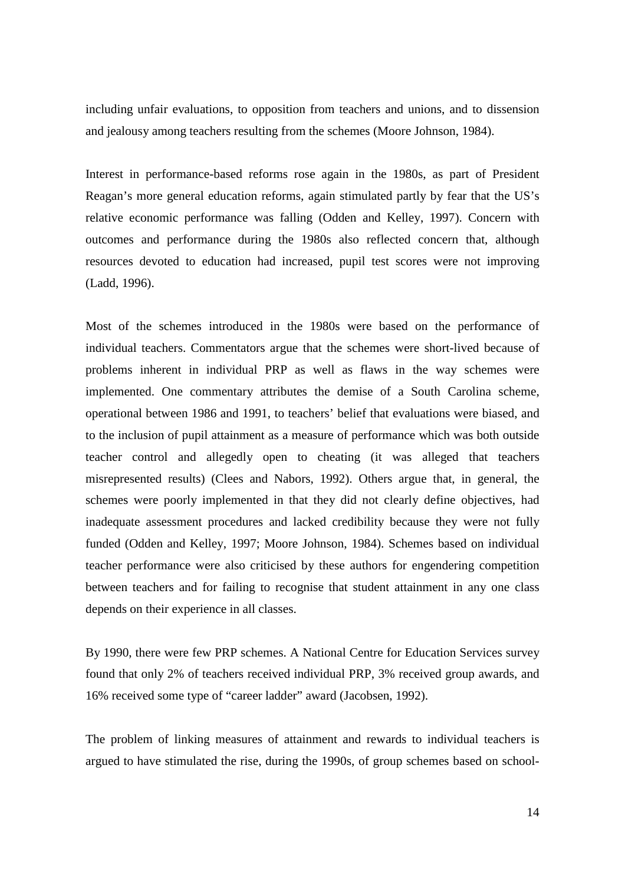including unfair evaluations, to opposition from teachers and unions, and to dissension and jealousy among teachers resulting from the schemes (Moore Johnson, 1984).

Interest in performance-based reforms rose again in the 1980s, as part of President Reagan's more general education reforms, again stimulated partly by fear that the US's relative economic performance was falling (Odden and Kelley, 1997). Concern with outcomes and performance during the 1980s also reflected concern that, although resources devoted to education had increased, pupil test scores were not improving (Ladd, 1996).

Most of the schemes introduced in the 1980s were based on the performance of individual teachers. Commentators argue that the schemes were short-lived because of problems inherent in individual PRP as well as flaws in the way schemes were implemented. One commentary attributes the demise of a South Carolina scheme, operational between 1986 and 1991, to teachers' belief that evaluations were biased, and to the inclusion of pupil attainment as a measure of performance which was both outside teacher control and allegedly open to cheating (it was alleged that teachers misrepresented results) (Clees and Nabors, 1992). Others argue that, in general, the schemes were poorly implemented in that they did not clearly define objectives, had inadequate assessment procedures and lacked credibility because they were not fully funded (Odden and Kelley, 1997; Moore Johnson, 1984). Schemes based on individual teacher performance were also criticised by these authors for engendering competition between teachers and for failing to recognise that student attainment in any one class depends on their experience in all classes.

By 1990, there were few PRP schemes. A National Centre for Education Services survey found that only 2% of teachers received individual PRP, 3% received group awards, and 16% received some type of "career ladder" award (Jacobsen, 1992).

The problem of linking measures of attainment and rewards to individual teachers is argued to have stimulated the rise, during the 1990s, of group schemes based on school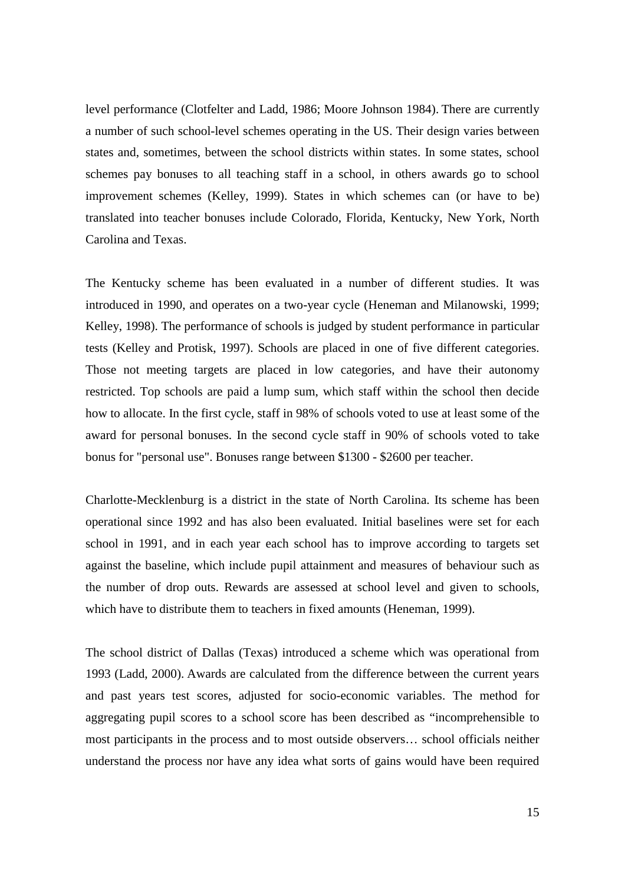level performance (Clotfelter and Ladd, 1986; Moore Johnson 1984). There are currently a number of such school-level schemes operating in the US. Their design varies between states and, sometimes, between the school districts within states. In some states, school schemes pay bonuses to all teaching staff in a school, in others awards go to school improvement schemes (Kelley, 1999). States in which schemes can (or have to be) translated into teacher bonuses include Colorado, Florida, Kentucky, New York, North Carolina and Texas.

The Kentucky scheme has been evaluated in a number of different studies. It was introduced in 1990, and operates on a two-year cycle (Heneman and Milanowski, 1999; Kelley, 1998). The performance of schools is judged by student performance in particular tests (Kelley and Protisk, 1997). Schools are placed in one of five different categories. Those not meeting targets are placed in low categories, and have their autonomy restricted. Top schools are paid a lump sum, which staff within the school then decide how to allocate. In the first cycle, staff in 98% of schools voted to use at least some of the award for personal bonuses. In the second cycle staff in 90% of schools voted to take bonus for "personal use". Bonuses range between \$1300 - \$2600 per teacher.

Charlotte-Mecklenburg is a district in the state of North Carolina. Its scheme has been operational since 1992 and has also been evaluated. Initial baselines were set for each school in 1991, and in each year each school has to improve according to targets set against the baseline, which include pupil attainment and measures of behaviour such as the number of drop outs. Rewards are assessed at school level and given to schools, which have to distribute them to teachers in fixed amounts (Heneman, 1999).

The school district of Dallas (Texas) introduced a scheme which was operational from 1993 (Ladd, 2000). Awards are calculated from the difference between the current years and past years test scores, adjusted for socio-economic variables. The method for aggregating pupil scores to a school score has been described as "incomprehensible to most participants in the process and to most outside observers… school officials neither understand the process nor have any idea what sorts of gains would have been required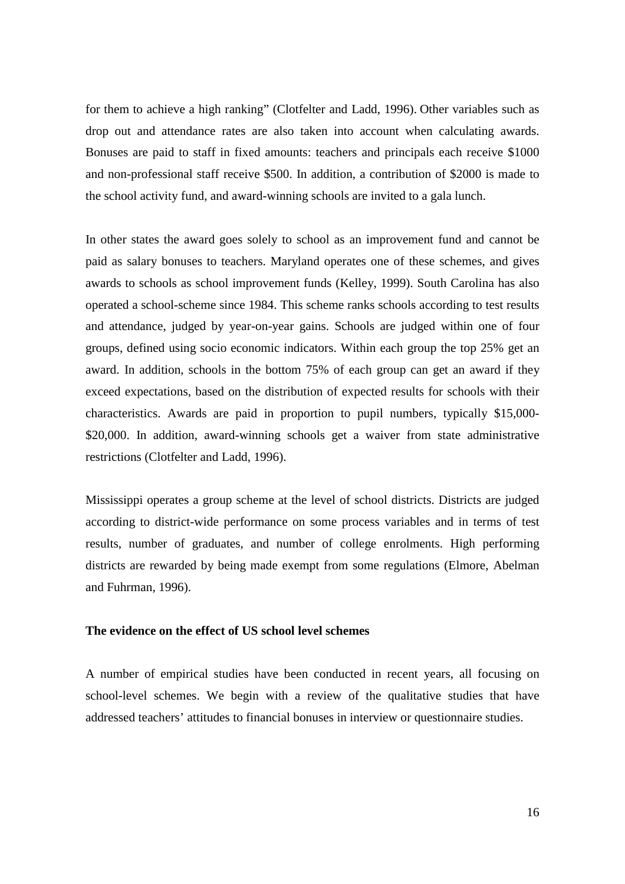for them to achieve a high ranking" (Clotfelter and Ladd, 1996). Other variables such as drop out and attendance rates are also taken into account when calculating awards. Bonuses are paid to staff in fixed amounts: teachers and principals each receive \$1000 and non-professional staff receive \$500. In addition, a contribution of \$2000 is made to the school activity fund, and award-winning schools are invited to a gala lunch.

In other states the award goes solely to school as an improvement fund and cannot be paid as salary bonuses to teachers. Maryland operates one of these schemes, and gives awards to schools as school improvement funds (Kelley, 1999). South Carolina has also operated a school-scheme since 1984. This scheme ranks schools according to test results and attendance, judged by year-on-year gains. Schools are judged within one of four groups, defined using socio economic indicators. Within each group the top 25% get an award. In addition, schools in the bottom 75% of each group can get an award if they exceed expectations, based on the distribution of expected results for schools with their characteristics. Awards are paid in proportion to pupil numbers, typically \$15,000- \$20,000. In addition, award-winning schools get a waiver from state administrative restrictions (Clotfelter and Ladd, 1996).

Mississippi operates a group scheme at the level of school districts. Districts are judged according to district-wide performance on some process variables and in terms of test results, number of graduates, and number of college enrolments. High performing districts are rewarded by being made exempt from some regulations (Elmore, Abelman and Fuhrman, 1996).

#### **The evidence on the effect of US school level schemes**

A number of empirical studies have been conducted in recent years, all focusing on school-level schemes. We begin with a review of the qualitative studies that have addressed teachers' attitudes to financial bonuses in interview or questionnaire studies.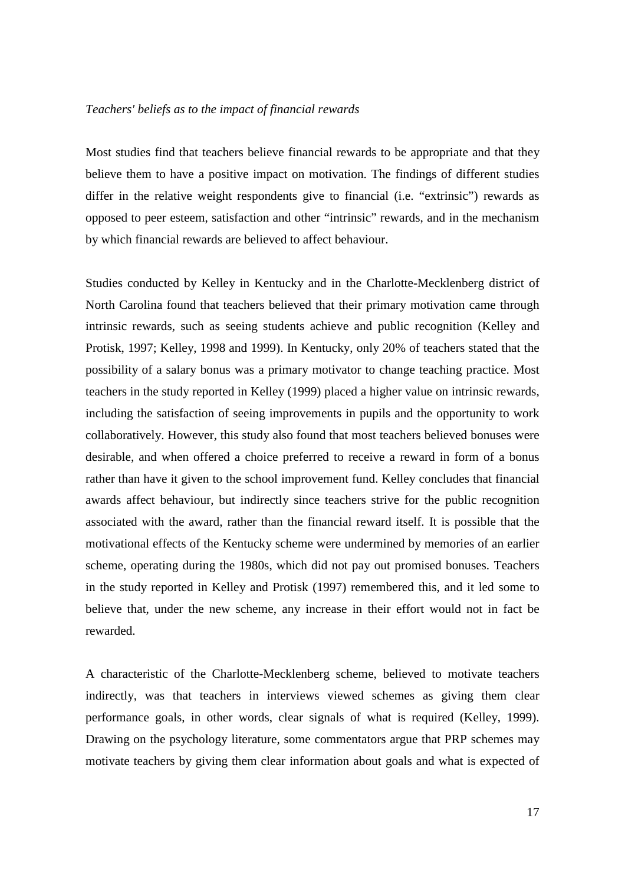#### *Teachers' beliefs as to the impact of financial rewards*

Most studies find that teachers believe financial rewards to be appropriate and that they believe them to have a positive impact on motivation. The findings of different studies differ in the relative weight respondents give to financial (i.e. "extrinsic") rewards as opposed to peer esteem, satisfaction and other "intrinsic" rewards, and in the mechanism by which financial rewards are believed to affect behaviour.

Studies conducted by Kelley in Kentucky and in the Charlotte-Mecklenberg district of North Carolina found that teachers believed that their primary motivation came through intrinsic rewards, such as seeing students achieve and public recognition (Kelley and Protisk, 1997; Kelley, 1998 and 1999). In Kentucky, only 20% of teachers stated that the possibility of a salary bonus was a primary motivator to change teaching practice. Most teachers in the study reported in Kelley (1999) placed a higher value on intrinsic rewards, including the satisfaction of seeing improvements in pupils and the opportunity to work collaboratively. However, this study also found that most teachers believed bonuses were desirable, and when offered a choice preferred to receive a reward in form of a bonus rather than have it given to the school improvement fund. Kelley concludes that financial awards affect behaviour, but indirectly since teachers strive for the public recognition associated with the award, rather than the financial reward itself. It is possible that the motivational effects of the Kentucky scheme were undermined by memories of an earlier scheme, operating during the 1980s, which did not pay out promised bonuses. Teachers in the study reported in Kelley and Protisk (1997) remembered this, and it led some to believe that, under the new scheme, any increase in their effort would not in fact be rewarded.

A characteristic of the Charlotte-Mecklenberg scheme, believed to motivate teachers indirectly, was that teachers in interviews viewed schemes as giving them clear performance goals, in other words, clear signals of what is required (Kelley, 1999). Drawing on the psychology literature, some commentators argue that PRP schemes may motivate teachers by giving them clear information about goals and what is expected of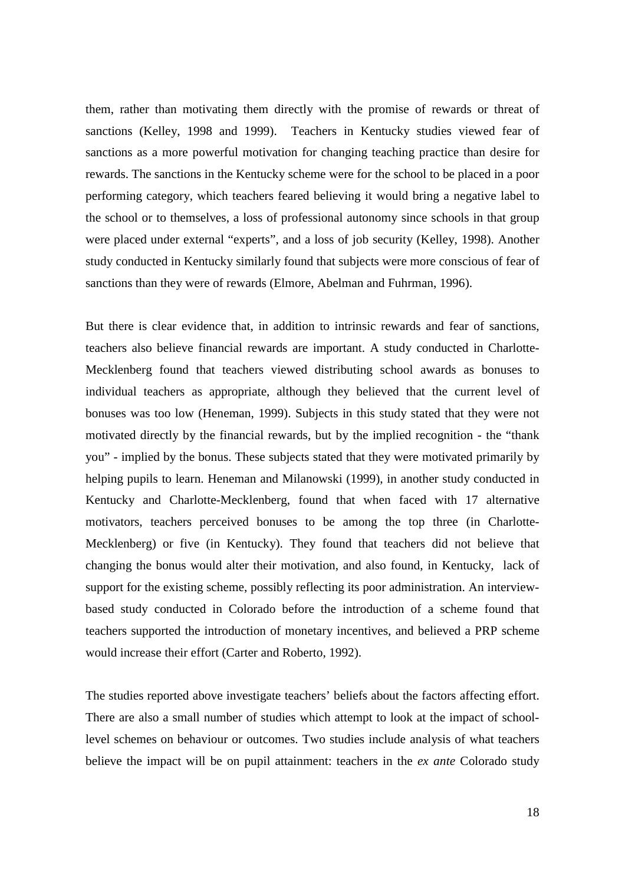them, rather than motivating them directly with the promise of rewards or threat of sanctions (Kelley, 1998 and 1999). Teachers in Kentucky studies viewed fear of sanctions as a more powerful motivation for changing teaching practice than desire for rewards. The sanctions in the Kentucky scheme were for the school to be placed in a poor performing category, which teachers feared believing it would bring a negative label to the school or to themselves, a loss of professional autonomy since schools in that group were placed under external "experts", and a loss of job security (Kelley, 1998). Another study conducted in Kentucky similarly found that subjects were more conscious of fear of sanctions than they were of rewards (Elmore, Abelman and Fuhrman, 1996).

But there is clear evidence that, in addition to intrinsic rewards and fear of sanctions, teachers also believe financial rewards are important. A study conducted in Charlotte-Mecklenberg found that teachers viewed distributing school awards as bonuses to individual teachers as appropriate, although they believed that the current level of bonuses was too low (Heneman, 1999). Subjects in this study stated that they were not motivated directly by the financial rewards, but by the implied recognition - the "thank you" - implied by the bonus. These subjects stated that they were motivated primarily by helping pupils to learn. Heneman and Milanowski (1999), in another study conducted in Kentucky and Charlotte-Mecklenberg, found that when faced with 17 alternative motivators, teachers perceived bonuses to be among the top three (in Charlotte-Mecklenberg) or five (in Kentucky). They found that teachers did not believe that changing the bonus would alter their motivation, and also found, in Kentucky, lack of support for the existing scheme, possibly reflecting its poor administration. An interviewbased study conducted in Colorado before the introduction of a scheme found that teachers supported the introduction of monetary incentives, and believed a PRP scheme would increase their effort (Carter and Roberto, 1992).

The studies reported above investigate teachers' beliefs about the factors affecting effort. There are also a small number of studies which attempt to look at the impact of schoollevel schemes on behaviour or outcomes. Two studies include analysis of what teachers believe the impact will be on pupil attainment: teachers in the *ex ante* Colorado study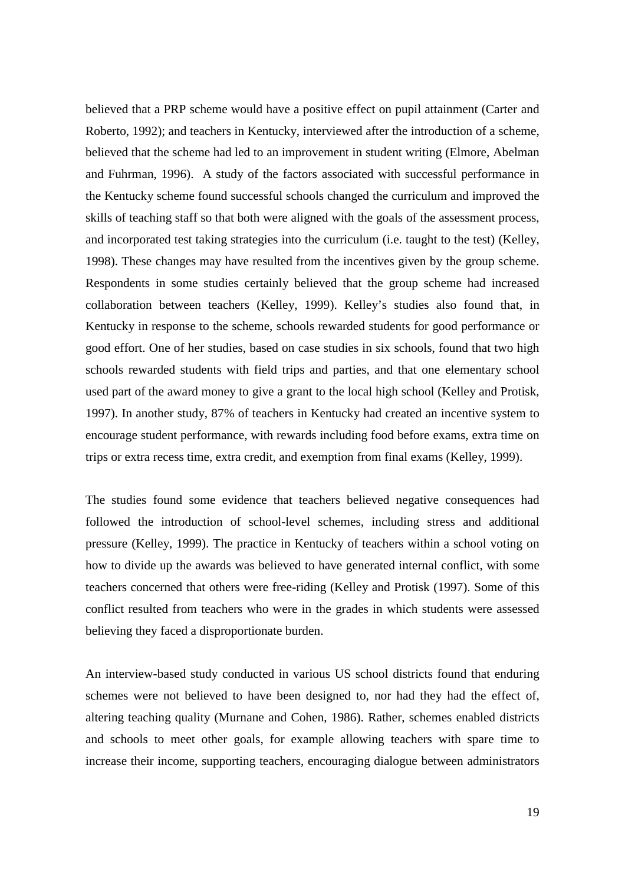believed that a PRP scheme would have a positive effect on pupil attainment (Carter and Roberto, 1992); and teachers in Kentucky, interviewed after the introduction of a scheme, believed that the scheme had led to an improvement in student writing (Elmore, Abelman and Fuhrman, 1996). A study of the factors associated with successful performance in the Kentucky scheme found successful schools changed the curriculum and improved the skills of teaching staff so that both were aligned with the goals of the assessment process, and incorporated test taking strategies into the curriculum (i.e. taught to the test) (Kelley, 1998). These changes may have resulted from the incentives given by the group scheme. Respondents in some studies certainly believed that the group scheme had increased collaboration between teachers (Kelley, 1999). Kelley's studies also found that, in Kentucky in response to the scheme, schools rewarded students for good performance or good effort. One of her studies, based on case studies in six schools, found that two high schools rewarded students with field trips and parties, and that one elementary school used part of the award money to give a grant to the local high school (Kelley and Protisk, 1997). In another study, 87% of teachers in Kentucky had created an incentive system to encourage student performance, with rewards including food before exams, extra time on trips or extra recess time, extra credit, and exemption from final exams (Kelley, 1999).

The studies found some evidence that teachers believed negative consequences had followed the introduction of school-level schemes, including stress and additional pressure (Kelley, 1999). The practice in Kentucky of teachers within a school voting on how to divide up the awards was believed to have generated internal conflict, with some teachers concerned that others were free-riding (Kelley and Protisk (1997). Some of this conflict resulted from teachers who were in the grades in which students were assessed believing they faced a disproportionate burden.

An interview-based study conducted in various US school districts found that enduring schemes were not believed to have been designed to, nor had they had the effect of, altering teaching quality (Murnane and Cohen, 1986). Rather, schemes enabled districts and schools to meet other goals, for example allowing teachers with spare time to increase their income, supporting teachers, encouraging dialogue between administrators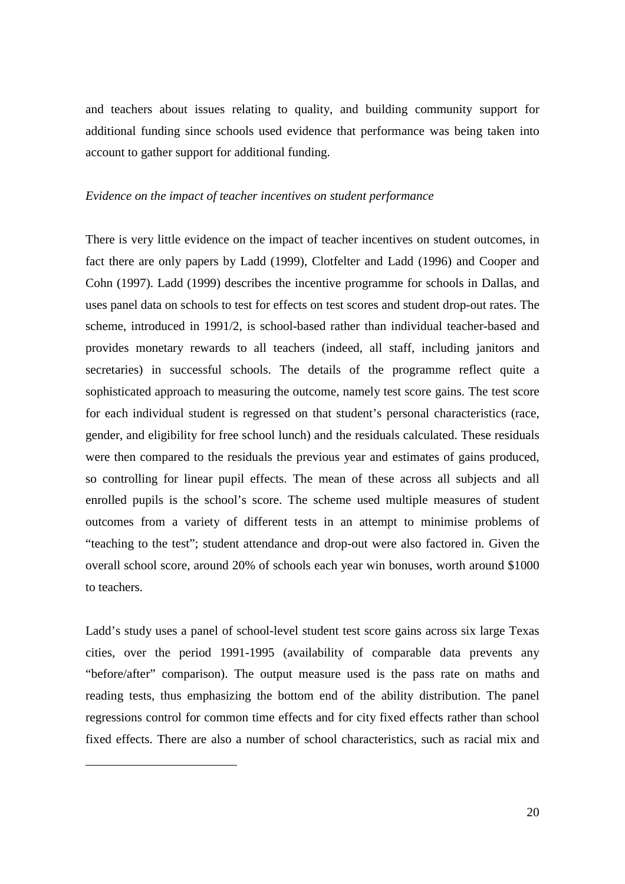and teachers about issues relating to quality, and building community support for additional funding since schools used evidence that performance was being taken into account to gather support for additional funding.

### *Evidence on the impact of teacher incentives on student performance*

There is very little evidence on the impact of teacher incentives on student outcomes, in fact there are only papers by Ladd (1999), Clotfelter and Ladd (1996) and Cooper and Cohn (1997). Ladd (1999) describes the incentive programme for schools in Dallas, and uses panel data on schools to test for effects on test scores and student drop-out rates. The scheme, introduced in 1991/2, is school-based rather than individual teacher-based and provides monetary rewards to all teachers (indeed, all staff, including janitors and secretaries) in successful schools. The details of the programme reflect quite a sophisticated approach to measuring the outcome, namely test score gains. The test score for each individual student is regressed on that student's personal characteristics (race, gender, and eligibility for free school lunch) and the residuals calculated. These residuals were then compared to the residuals the previous year and estimates of gains produced, so controlling for linear pupil effects. The mean of these across all subjects and all enrolled pupils is the school's score. The scheme used multiple measures of student outcomes from a variety of different tests in an attempt to minimise problems of "teaching to the test"; student attendance and drop-out were also factored in. Given the overall school score, around 20% of schools each year win bonuses, worth around \$1000 to teachers.

Ladd's study uses a panel of school-level student test score gains across six large Texas cities, over the period 1991-1995 (availability of comparable data prevents any "before/after" comparison). The output measure used is the pass rate on maths and reading tests, thus emphasizing the bottom end of the ability distribution. The panel regressions control for common time effects and for city fixed effects rather than school fixed effects. There are also a number of school characteristics, such as racial mix and

l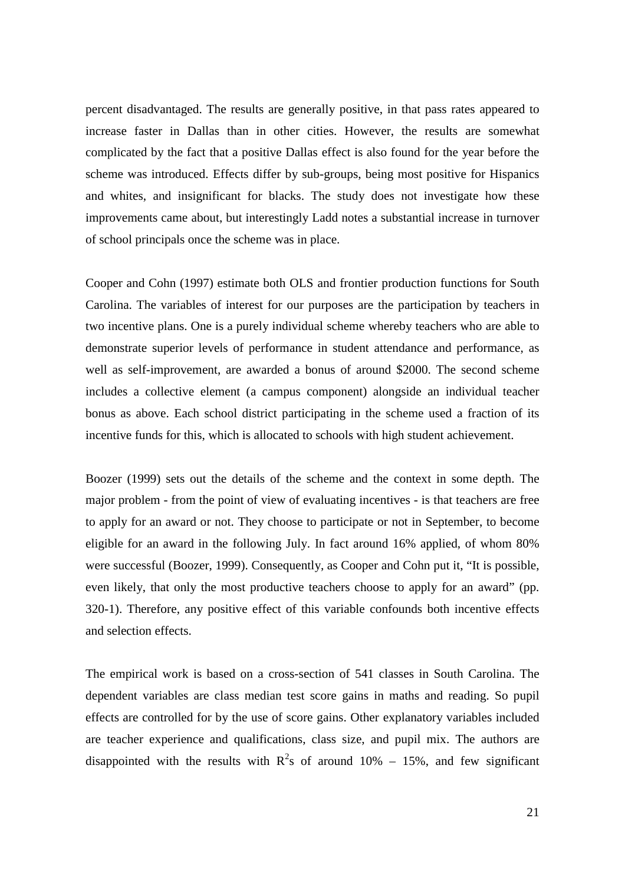percent disadvantaged. The results are generally positive, in that pass rates appeared to increase faster in Dallas than in other cities. However, the results are somewhat complicated by the fact that a positive Dallas effect is also found for the year before the scheme was introduced. Effects differ by sub-groups, being most positive for Hispanics and whites, and insignificant for blacks. The study does not investigate how these improvements came about, but interestingly Ladd notes a substantial increase in turnover of school principals once the scheme was in place.

Cooper and Cohn (1997) estimate both OLS and frontier production functions for South Carolina. The variables of interest for our purposes are the participation by teachers in two incentive plans. One is a purely individual scheme whereby teachers who are able to demonstrate superior levels of performance in student attendance and performance, as well as self-improvement, are awarded a bonus of around \$2000. The second scheme includes a collective element (a campus component) alongside an individual teacher bonus as above. Each school district participating in the scheme used a fraction of its incentive funds for this, which is allocated to schools with high student achievement.

Boozer (1999) sets out the details of the scheme and the context in some depth. The major problem - from the point of view of evaluating incentives - is that teachers are free to apply for an award or not. They choose to participate or not in September, to become eligible for an award in the following July. In fact around 16% applied, of whom 80% were successful (Boozer, 1999). Consequently, as Cooper and Cohn put it, "It is possible, even likely, that only the most productive teachers choose to apply for an award" (pp. 320-1). Therefore, any positive effect of this variable confounds both incentive effects and selection effects.

The empirical work is based on a cross-section of 541 classes in South Carolina. The dependent variables are class median test score gains in maths and reading. So pupil effects are controlled for by the use of score gains. Other explanatory variables included are teacher experience and qualifications, class size, and pupil mix. The authors are disappointed with the results with  $R^2$ s of around 10% – 15%, and few significant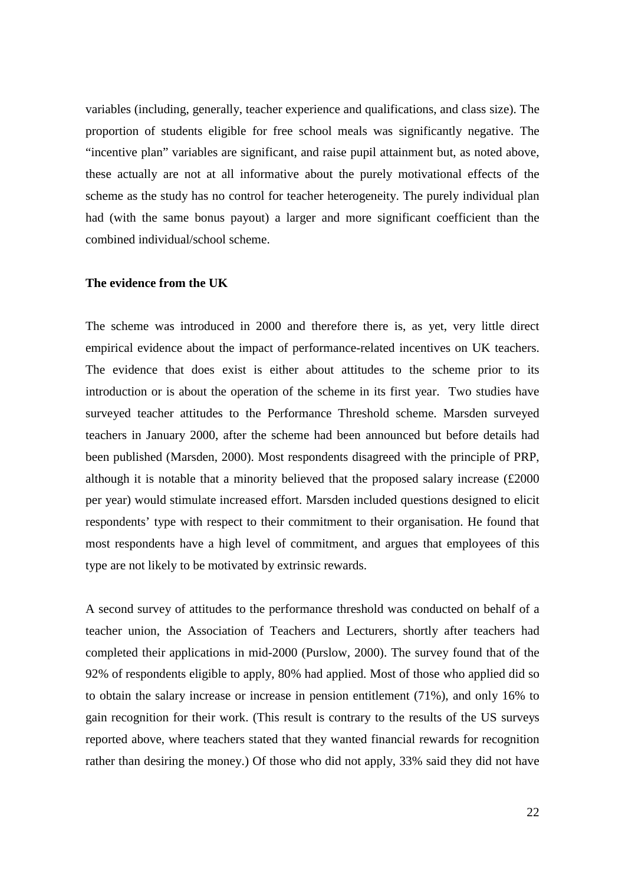variables (including, generally, teacher experience and qualifications, and class size). The proportion of students eligible for free school meals was significantly negative. The "incentive plan" variables are significant, and raise pupil attainment but, as noted above, these actually are not at all informative about the purely motivational effects of the scheme as the study has no control for teacher heterogeneity. The purely individual plan had (with the same bonus payout) a larger and more significant coefficient than the combined individual/school scheme.

## **The evidence from the UK**

The scheme was introduced in 2000 and therefore there is, as yet, very little direct empirical evidence about the impact of performance-related incentives on UK teachers. The evidence that does exist is either about attitudes to the scheme prior to its introduction or is about the operation of the scheme in its first year. Two studies have surveyed teacher attitudes to the Performance Threshold scheme. Marsden surveyed teachers in January 2000, after the scheme had been announced but before details had been published (Marsden, 2000). Most respondents disagreed with the principle of PRP, although it is notable that a minority believed that the proposed salary increase (£2000 per year) would stimulate increased effort. Marsden included questions designed to elicit respondents' type with respect to their commitment to their organisation. He found that most respondents have a high level of commitment, and argues that employees of this type are not likely to be motivated by extrinsic rewards.

A second survey of attitudes to the performance threshold was conducted on behalf of a teacher union, the Association of Teachers and Lecturers, shortly after teachers had completed their applications in mid-2000 (Purslow, 2000). The survey found that of the 92% of respondents eligible to apply, 80% had applied. Most of those who applied did so to obtain the salary increase or increase in pension entitlement (71%), and only 16% to gain recognition for their work. (This result is contrary to the results of the US surveys reported above, where teachers stated that they wanted financial rewards for recognition rather than desiring the money.) Of those who did not apply, 33% said they did not have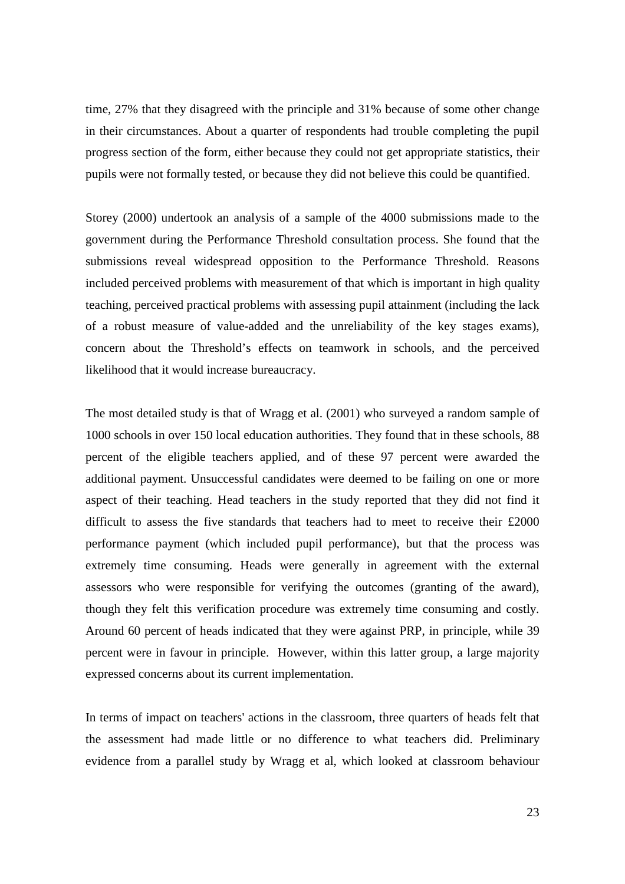time, 27% that they disagreed with the principle and 31% because of some other change in their circumstances. About a quarter of respondents had trouble completing the pupil progress section of the form, either because they could not get appropriate statistics, their pupils were not formally tested, or because they did not believe this could be quantified.

Storey (2000) undertook an analysis of a sample of the 4000 submissions made to the government during the Performance Threshold consultation process. She found that the submissions reveal widespread opposition to the Performance Threshold. Reasons included perceived problems with measurement of that which is important in high quality teaching, perceived practical problems with assessing pupil attainment (including the lack of a robust measure of value-added and the unreliability of the key stages exams), concern about the Threshold's effects on teamwork in schools, and the perceived likelihood that it would increase bureaucracy.

The most detailed study is that of Wragg et al. (2001) who surveyed a random sample of 1000 schools in over 150 local education authorities. They found that in these schools, 88 percent of the eligible teachers applied, and of these 97 percent were awarded the additional payment. Unsuccessful candidates were deemed to be failing on one or more aspect of their teaching. Head teachers in the study reported that they did not find it difficult to assess the five standards that teachers had to meet to receive their £2000 performance payment (which included pupil performance), but that the process was extremely time consuming. Heads were generally in agreement with the external assessors who were responsible for verifying the outcomes (granting of the award), though they felt this verification procedure was extremely time consuming and costly. Around 60 percent of heads indicated that they were against PRP, in principle, while 39 percent were in favour in principle. However, within this latter group, a large majority expressed concerns about its current implementation.

In terms of impact on teachers' actions in the classroom, three quarters of heads felt that the assessment had made little or no difference to what teachers did. Preliminary evidence from a parallel study by Wragg et al, which looked at classroom behaviour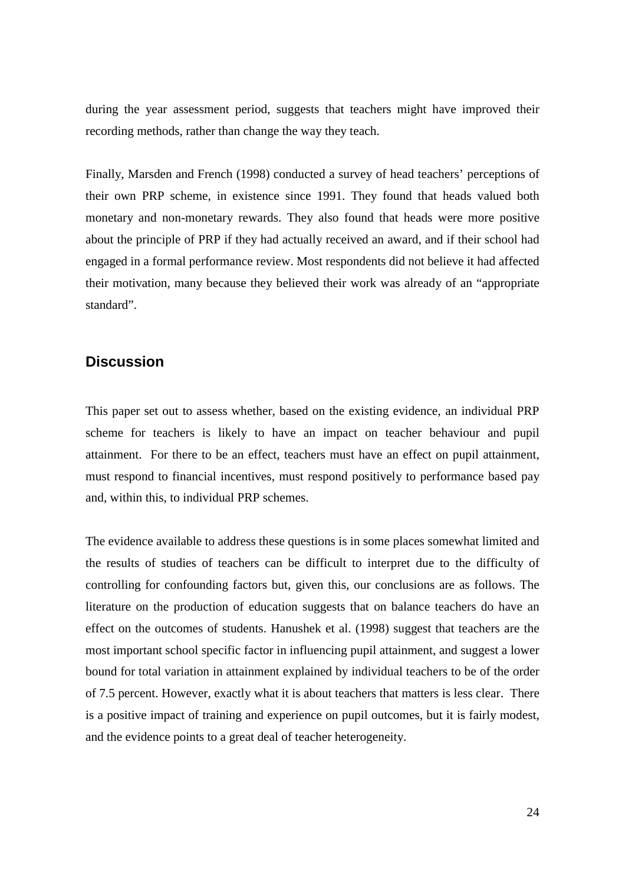during the year assessment period, suggests that teachers might have improved their recording methods, rather than change the way they teach.

Finally, Marsden and French (1998) conducted a survey of head teachers' perceptions of their own PRP scheme, in existence since 1991. They found that heads valued both monetary and non-monetary rewards. They also found that heads were more positive about the principle of PRP if they had actually received an award, and if their school had engaged in a formal performance review. Most respondents did not believe it had affected their motivation, many because they believed their work was already of an "appropriate standard".

# **Discussion**

This paper set out to assess whether, based on the existing evidence, an individual PRP scheme for teachers is likely to have an impact on teacher behaviour and pupil attainment. For there to be an effect, teachers must have an effect on pupil attainment, must respond to financial incentives, must respond positively to performance based pay and, within this, to individual PRP schemes.

The evidence available to address these questions is in some places somewhat limited and the results of studies of teachers can be difficult to interpret due to the difficulty of controlling for confounding factors but, given this, our conclusions are as follows. The literature on the production of education suggests that on balance teachers do have an effect on the outcomes of students. Hanushek et al. (1998) suggest that teachers are the most important school specific factor in influencing pupil attainment, and suggest a lower bound for total variation in attainment explained by individual teachers to be of the order of 7.5 percent. However, exactly what it is about teachers that matters is less clear. There is a positive impact of training and experience on pupil outcomes, but it is fairly modest, and the evidence points to a great deal of teacher heterogeneity.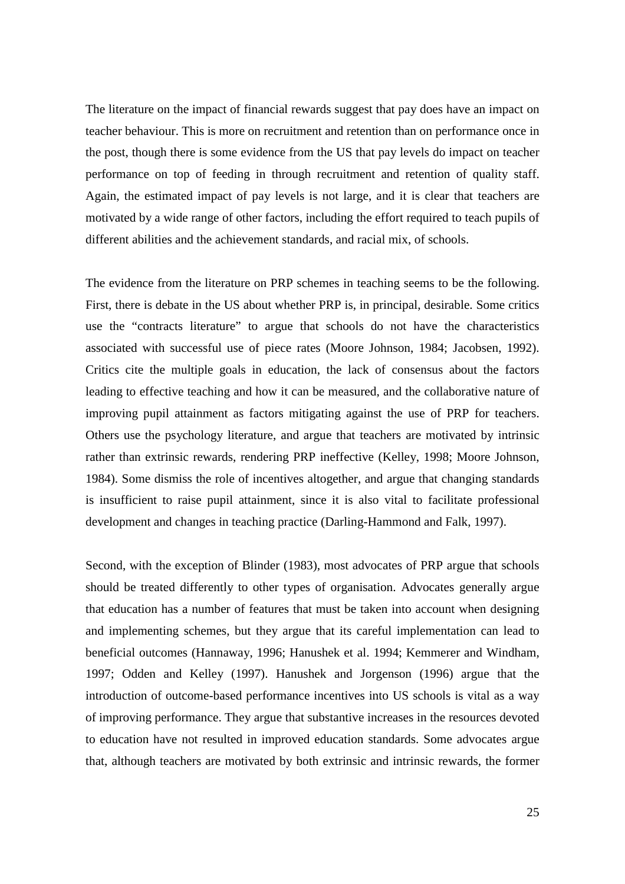The literature on the impact of financial rewards suggest that pay does have an impact on teacher behaviour. This is more on recruitment and retention than on performance once in the post, though there is some evidence from the US that pay levels do impact on teacher performance on top of feeding in through recruitment and retention of quality staff. Again, the estimated impact of pay levels is not large, and it is clear that teachers are motivated by a wide range of other factors, including the effort required to teach pupils of different abilities and the achievement standards, and racial mix, of schools.

The evidence from the literature on PRP schemes in teaching seems to be the following. First, there is debate in the US about whether PRP is, in principal, desirable. Some critics use the "contracts literature" to argue that schools do not have the characteristics associated with successful use of piece rates (Moore Johnson, 1984; Jacobsen, 1992). Critics cite the multiple goals in education, the lack of consensus about the factors leading to effective teaching and how it can be measured, and the collaborative nature of improving pupil attainment as factors mitigating against the use of PRP for teachers. Others use the psychology literature, and argue that teachers are motivated by intrinsic rather than extrinsic rewards, rendering PRP ineffective (Kelley, 1998; Moore Johnson, 1984). Some dismiss the role of incentives altogether, and argue that changing standards is insufficient to raise pupil attainment, since it is also vital to facilitate professional development and changes in teaching practice (Darling-Hammond and Falk, 1997).

Second, with the exception of Blinder (1983), most advocates of PRP argue that schools should be treated differently to other types of organisation. Advocates generally argue that education has a number of features that must be taken into account when designing and implementing schemes, but they argue that its careful implementation can lead to beneficial outcomes (Hannaway, 1996; Hanushek et al. 1994; Kemmerer and Windham, 1997; Odden and Kelley (1997). Hanushek and Jorgenson (1996) argue that the introduction of outcome-based performance incentives into US schools is vital as a way of improving performance. They argue that substantive increases in the resources devoted to education have not resulted in improved education standards. Some advocates argue that, although teachers are motivated by both extrinsic and intrinsic rewards, the former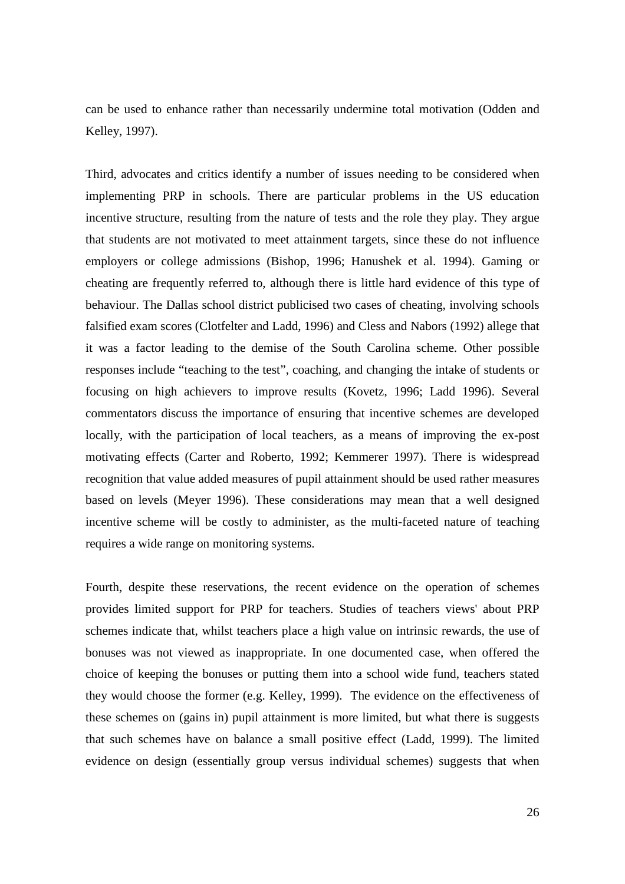can be used to enhance rather than necessarily undermine total motivation (Odden and Kelley, 1997).

Third, advocates and critics identify a number of issues needing to be considered when implementing PRP in schools. There are particular problems in the US education incentive structure, resulting from the nature of tests and the role they play. They argue that students are not motivated to meet attainment targets, since these do not influence employers or college admissions (Bishop, 1996; Hanushek et al. 1994). Gaming or cheating are frequently referred to, although there is little hard evidence of this type of behaviour. The Dallas school district publicised two cases of cheating, involving schools falsified exam scores (Clotfelter and Ladd, 1996) and Cless and Nabors (1992) allege that it was a factor leading to the demise of the South Carolina scheme. Other possible responses include "teaching to the test", coaching, and changing the intake of students or focusing on high achievers to improve results (Kovetz, 1996; Ladd 1996). Several commentators discuss the importance of ensuring that incentive schemes are developed locally, with the participation of local teachers, as a means of improving the ex-post motivating effects (Carter and Roberto, 1992; Kemmerer 1997). There is widespread recognition that value added measures of pupil attainment should be used rather measures based on levels (Meyer 1996). These considerations may mean that a well designed incentive scheme will be costly to administer, as the multi-faceted nature of teaching requires a wide range on monitoring systems.

Fourth, despite these reservations, the recent evidence on the operation of schemes provides limited support for PRP for teachers. Studies of teachers views' about PRP schemes indicate that, whilst teachers place a high value on intrinsic rewards, the use of bonuses was not viewed as inappropriate. In one documented case, when offered the choice of keeping the bonuses or putting them into a school wide fund, teachers stated they would choose the former (e.g. Kelley, 1999). The evidence on the effectiveness of these schemes on (gains in) pupil attainment is more limited, but what there is suggests that such schemes have on balance a small positive effect (Ladd, 1999). The limited evidence on design (essentially group versus individual schemes) suggests that when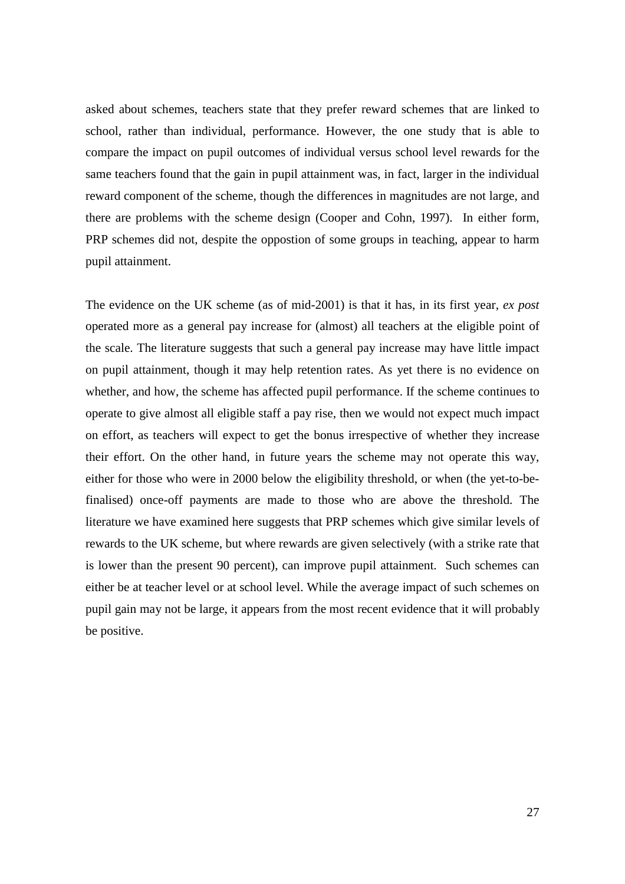asked about schemes, teachers state that they prefer reward schemes that are linked to school, rather than individual, performance. However, the one study that is able to compare the impact on pupil outcomes of individual versus school level rewards for the same teachers found that the gain in pupil attainment was, in fact, larger in the individual reward component of the scheme, though the differences in magnitudes are not large, and there are problems with the scheme design (Cooper and Cohn, 1997). In either form, PRP schemes did not, despite the oppostion of some groups in teaching, appear to harm pupil attainment.

The evidence on the UK scheme (as of mid-2001) is that it has, in its first year, *ex post* operated more as a general pay increase for (almost) all teachers at the eligible point of the scale. The literature suggests that such a general pay increase may have little impact on pupil attainment, though it may help retention rates. As yet there is no evidence on whether, and how, the scheme has affected pupil performance. If the scheme continues to operate to give almost all eligible staff a pay rise, then we would not expect much impact on effort, as teachers will expect to get the bonus irrespective of whether they increase their effort. On the other hand, in future years the scheme may not operate this way, either for those who were in 2000 below the eligibility threshold, or when (the yet-to-befinalised) once-off payments are made to those who are above the threshold. The literature we have examined here suggests that PRP schemes which give similar levels of rewards to the UK scheme, but where rewards are given selectively (with a strike rate that is lower than the present 90 percent), can improve pupil attainment. Such schemes can either be at teacher level or at school level. While the average impact of such schemes on pupil gain may not be large, it appears from the most recent evidence that it will probably be positive.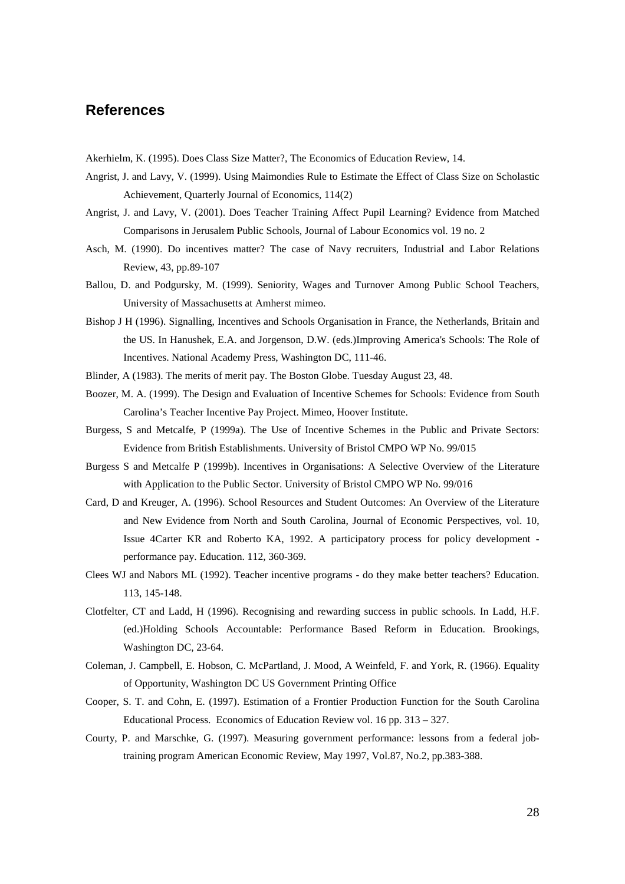## **References**

Akerhielm, K. (1995). Does Class Size Matter?, The Economics of Education Review, 14.

- Angrist, J. and Lavy, V. (1999). Using Maimondies Rule to Estimate the Effect of Class Size on Scholastic Achievement, Quarterly Journal of Economics, 114(2)
- Angrist, J. and Lavy, V. (2001). Does Teacher Training Affect Pupil Learning? Evidence from Matched Comparisons in Jerusalem Public Schools, Journal of Labour Economics vol. 19 no. 2
- Asch, M. (1990). Do incentives matter? The case of Navy recruiters, Industrial and Labor Relations Review, 43, pp.89-107
- Ballou, D. and Podgursky, M. (1999). Seniority, Wages and Turnover Among Public School Teachers, University of Massachusetts at Amherst mimeo.
- Bishop J H (1996). Signalling, Incentives and Schools Organisation in France, the Netherlands, Britain and the US. In Hanushek, E.A. and Jorgenson, D.W. (eds.)Improving America's Schools: The Role of Incentives. National Academy Press, Washington DC, 111-46.
- Blinder, A (1983). The merits of merit pay. The Boston Globe. Tuesday August 23, 48.
- Boozer, M. A. (1999). The Design and Evaluation of Incentive Schemes for Schools: Evidence from South Carolina's Teacher Incentive Pay Project. Mimeo, Hoover Institute.
- Burgess, S and Metcalfe, P (1999a). The Use of Incentive Schemes in the Public and Private Sectors: Evidence from British Establishments. University of Bristol CMPO WP No. 99/015
- Burgess S and Metcalfe P (1999b). Incentives in Organisations: A Selective Overview of the Literature with Application to the Public Sector. University of Bristol CMPO WP No. 99/016
- Card, D and Kreuger, A. (1996). School Resources and Student Outcomes: An Overview of the Literature and New Evidence from North and South Carolina, Journal of Economic Perspectives, vol. 10, Issue 4Carter KR and Roberto KA, 1992. A participatory process for policy development performance pay. Education. 112, 360-369.
- Clees WJ and Nabors ML (1992). Teacher incentive programs do they make better teachers? Education. 113, 145-148.
- Clotfelter, CT and Ladd, H (1996). Recognising and rewarding success in public schools. In Ladd, H.F. (ed.)Holding Schools Accountable: Performance Based Reform in Education. Brookings, Washington DC, 23-64.
- Coleman, J. Campbell, E. Hobson, C. McPartland, J. Mood, A Weinfeld, F. and York, R. (1966). Equality of Opportunity, Washington DC US Government Printing Office
- Cooper, S. T. and Cohn, E. (1997). Estimation of a Frontier Production Function for the South Carolina Educational Process. Economics of Education Review vol. 16 pp. 313 – 327.
- Courty, P. and Marschke, G. (1997). Measuring government performance: lessons from a federal jobtraining program American Economic Review, May 1997, Vol.87, No.2, pp.383-388.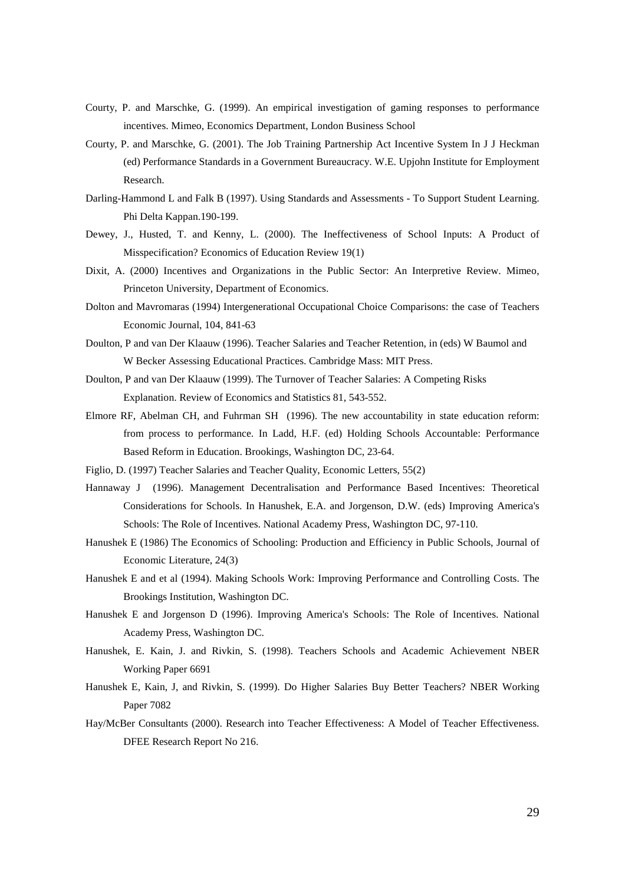- Courty, P. and Marschke, G. (1999). An empirical investigation of gaming responses to performance incentives. Mimeo, Economics Department, London Business School
- Courty, P. and Marschke, G. (2001). The Job Training Partnership Act Incentive System In J J Heckman (ed) Performance Standards in a Government Bureaucracy. W.E. Upjohn Institute for Employment Research.
- Darling-Hammond L and Falk B (1997). Using Standards and Assessments To Support Student Learning. Phi Delta Kappan.190-199.
- Dewey, J., Husted, T. and Kenny, L. (2000). The Ineffectiveness of School Inputs: A Product of Misspecification? Economics of Education Review 19(1)
- Dixit, A. (2000) Incentives and Organizations in the Public Sector: An Interpretive Review. Mimeo, Princeton University, Department of Economics.
- Dolton and Mavromaras (1994) Intergenerational Occupational Choice Comparisons: the case of Teachers Economic Journal, 104, 841-63
- Doulton, P and van Der Klaauw (1996). Teacher Salaries and Teacher Retention, in (eds) W Baumol and W Becker Assessing Educational Practices. Cambridge Mass: MIT Press.
- Doulton, P and van Der Klaauw (1999). The Turnover of Teacher Salaries: A Competing Risks Explanation. Review of Economics and Statistics 81, 543-552.
- Elmore RF, Abelman CH, and Fuhrman SH (1996). The new accountability in state education reform: from process to performance. In Ladd, H.F. (ed) Holding Schools Accountable: Performance Based Reform in Education. Brookings, Washington DC, 23-64.
- Figlio, D. (1997) Teacher Salaries and Teacher Quality, Economic Letters, 55(2)
- Hannaway J (1996). Management Decentralisation and Performance Based Incentives: Theoretical Considerations for Schools. In Hanushek, E.A. and Jorgenson, D.W. (eds) Improving America's Schools: The Role of Incentives. National Academy Press, Washington DC, 97-110.
- Hanushek E (1986) The Economics of Schooling: Production and Efficiency in Public Schools, Journal of Economic Literature, 24(3)
- Hanushek E and et al (1994). Making Schools Work: Improving Performance and Controlling Costs. The Brookings Institution, Washington DC.
- Hanushek E and Jorgenson D (1996). Improving America's Schools: The Role of Incentives. National Academy Press, Washington DC.
- Hanushek, E. Kain, J. and Rivkin, S. (1998). Teachers Schools and Academic Achievement NBER Working Paper 6691
- Hanushek E, Kain, J, and Rivkin, S. (1999). Do Higher Salaries Buy Better Teachers? NBER Working Paper 7082
- Hay/McBer Consultants (2000). Research into Teacher Effectiveness: A Model of Teacher Effectiveness. DFEE Research Report No 216.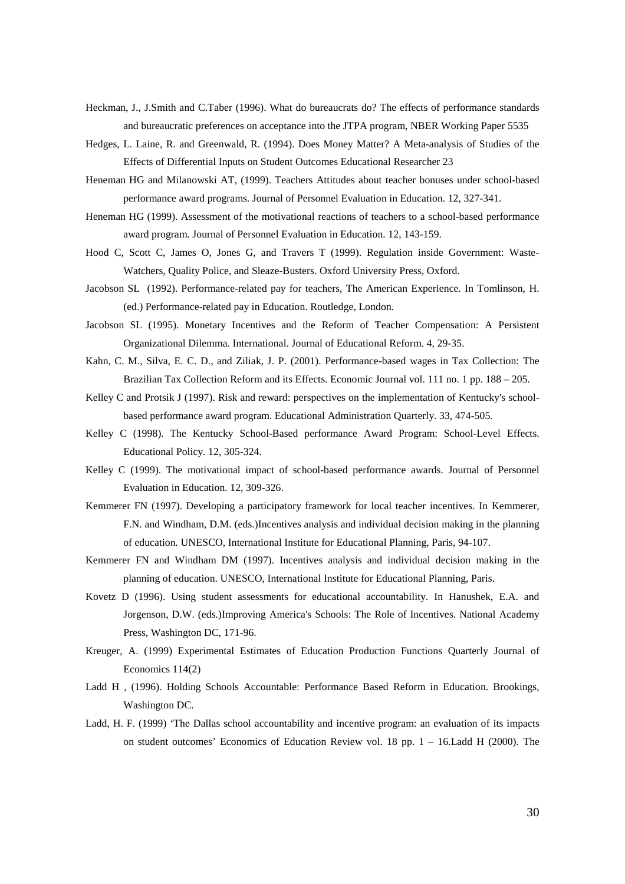- Heckman, J., J.Smith and C.Taber (1996). What do bureaucrats do? The effects of performance standards and bureaucratic preferences on acceptance into the JTPA program, NBER Working Paper 5535
- Hedges, L. Laine, R. and Greenwald, R. (1994). Does Money Matter? A Meta-analysis of Studies of the Effects of Differential Inputs on Student Outcomes Educational Researcher 23
- Heneman HG and Milanowski AT, (1999). Teachers Attitudes about teacher bonuses under school-based performance award programs. Journal of Personnel Evaluation in Education. 12, 327-341.
- Heneman HG (1999). Assessment of the motivational reactions of teachers to a school-based performance award program. Journal of Personnel Evaluation in Education. 12, 143-159.
- Hood C, Scott C, James O, Jones G, and Travers T (1999). Regulation inside Government: Waste-Watchers, Quality Police, and Sleaze-Busters. Oxford University Press, Oxford.
- Jacobson SL (1992). Performance-related pay for teachers, The American Experience. In Tomlinson, H. (ed.) Performance-related pay in Education. Routledge, London.
- Jacobson SL (1995). Monetary Incentives and the Reform of Teacher Compensation: A Persistent Organizational Dilemma. International. Journal of Educational Reform. 4, 29-35.
- Kahn, C. M., Silva, E. C. D., and Ziliak, J. P. (2001). Performance-based wages in Tax Collection: The Brazilian Tax Collection Reform and its Effects. Economic Journal vol. 111 no. 1 pp. 188 – 205.
- Kelley C and Protsik J (1997). Risk and reward: perspectives on the implementation of Kentucky's schoolbased performance award program. Educational Administration Quarterly. 33, 474-505.
- Kelley C (1998). The Kentucky School-Based performance Award Program: School-Level Effects. Educational Policy. 12, 305-324.
- Kelley C (1999). The motivational impact of school-based performance awards. Journal of Personnel Evaluation in Education. 12, 309-326.
- Kemmerer FN (1997). Developing a participatory framework for local teacher incentives. In Kemmerer, F.N. and Windham, D.M. (eds.)Incentives analysis and individual decision making in the planning of education. UNESCO, International Institute for Educational Planning, Paris, 94-107.
- Kemmerer FN and Windham DM (1997). Incentives analysis and individual decision making in the planning of education. UNESCO, International Institute for Educational Planning, Paris.
- Kovetz D (1996). Using student assessments for educational accountability. In Hanushek, E.A. and Jorgenson, D.W. (eds.)Improving America's Schools: The Role of Incentives. National Academy Press, Washington DC, 171-96.
- Kreuger, A. (1999) Experimental Estimates of Education Production Functions Quarterly Journal of Economics 114(2)
- Ladd H , (1996). Holding Schools Accountable: Performance Based Reform in Education. Brookings, Washington DC.
- Ladd, H. F. (1999) 'The Dallas school accountability and incentive program: an evaluation of its impacts on student outcomes' Economics of Education Review vol. 18 pp. 1 – 16.Ladd H (2000). The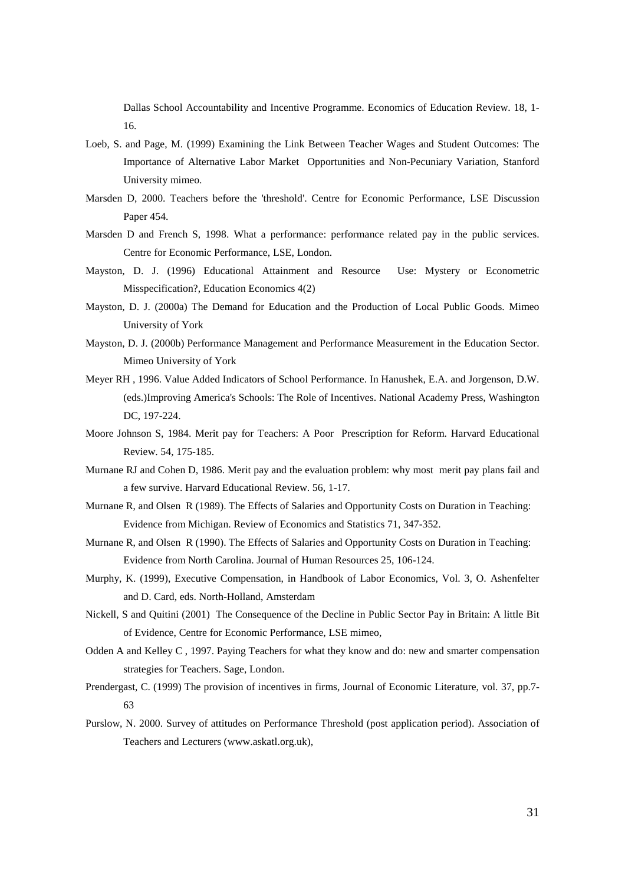Dallas School Accountability and Incentive Programme. Economics of Education Review. 18, 1- 16.

- Loeb, S. and Page, M. (1999) Examining the Link Between Teacher Wages and Student Outcomes: The Importance of Alternative Labor Market Opportunities and Non-Pecuniary Variation, Stanford University mimeo.
- Marsden D, 2000. Teachers before the 'threshold'. Centre for Economic Performance, LSE Discussion Paper 454.
- Marsden D and French S, 1998. What a performance: performance related pay in the public services. Centre for Economic Performance, LSE, London.
- Mayston, D. J. (1996) Educational Attainment and Resource Use: Mystery or Econometric Misspecification?, Education Economics 4(2)
- Mayston, D. J. (2000a) The Demand for Education and the Production of Local Public Goods. Mimeo University of York
- Mayston, D. J. (2000b) Performance Management and Performance Measurement in the Education Sector. Mimeo University of York
- Meyer RH , 1996. Value Added Indicators of School Performance. In Hanushek, E.A. and Jorgenson, D.W. (eds.)Improving America's Schools: The Role of Incentives. National Academy Press, Washington DC, 197-224.
- Moore Johnson S, 1984. Merit pay for Teachers: A Poor Prescription for Reform. Harvard Educational Review. 54, 175-185.
- Murnane RJ and Cohen D, 1986. Merit pay and the evaluation problem: why most merit pay plans fail and a few survive. Harvard Educational Review. 56, 1-17.
- Murnane R, and Olsen R (1989). The Effects of Salaries and Opportunity Costs on Duration in Teaching: Evidence from Michigan. Review of Economics and Statistics 71, 347-352.
- Murnane R, and Olsen R (1990). The Effects of Salaries and Opportunity Costs on Duration in Teaching: Evidence from North Carolina. Journal of Human Resources 25, 106-124.
- Murphy, K. (1999), Executive Compensation, in Handbook of Labor Economics, Vol. 3, O. Ashenfelter and D. Card, eds. North-Holland, Amsterdam
- Nickell, S and Quitini (2001) The Consequence of the Decline in Public Sector Pay in Britain: A little Bit of Evidence, Centre for Economic Performance, LSE mimeo,
- Odden A and Kelley C , 1997. Paying Teachers for what they know and do: new and smarter compensation strategies for Teachers. Sage, London.
- Prendergast, C. (1999) The provision of incentives in firms, Journal of Economic Literature, vol. 37, pp.7- 63
- Purslow, N. 2000. Survey of attitudes on Performance Threshold (post application period). Association of Teachers and Lecturers (www.askatl.org.uk),